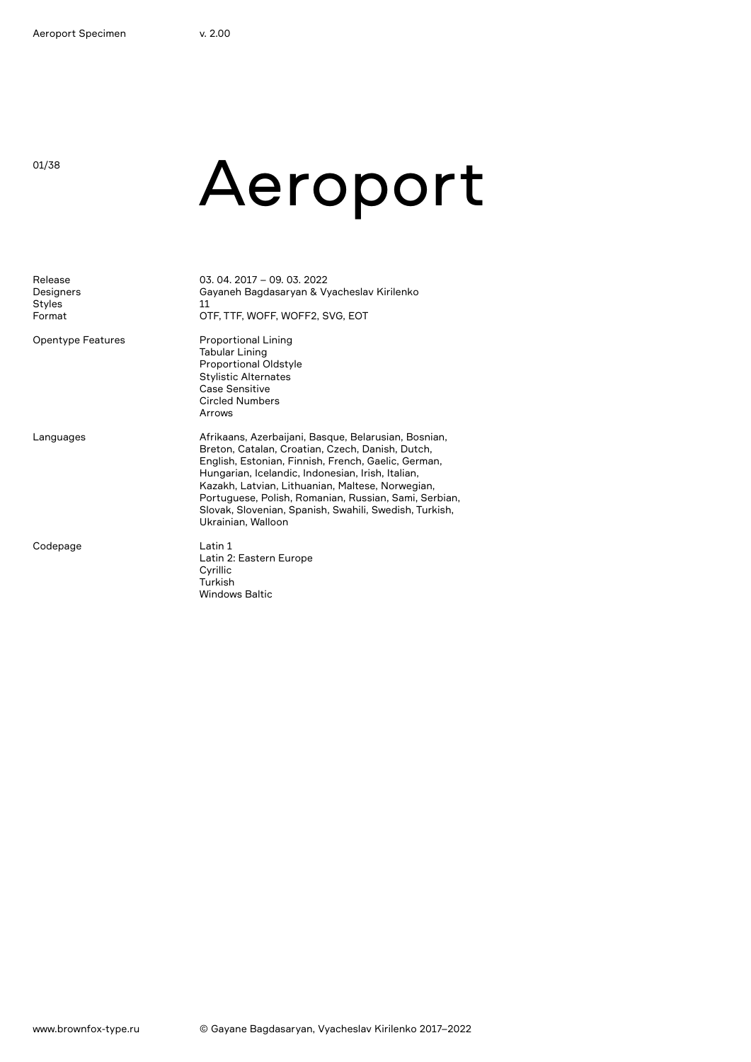01/38

# Aeroport

| Release<br>Designers<br>Styles<br>Format | 03.04.2017 - 09.03.2022<br>Gayaneh Bagdasaryan & Vyacheslav Kirilenko<br>11<br>OTF, TTF, WOFF, WOFF2, SVG, EOT                                                                                                                                                                                                                                                                                                    |
|------------------------------------------|-------------------------------------------------------------------------------------------------------------------------------------------------------------------------------------------------------------------------------------------------------------------------------------------------------------------------------------------------------------------------------------------------------------------|
| Opentype Features                        | <b>Proportional Lining</b><br>Tabular Lining<br>Proportional Oldstyle<br><b>Stylistic Alternates</b><br>Case Sensitive<br><b>Circled Numbers</b><br>Arrows                                                                                                                                                                                                                                                        |
| Languages                                | Afrikaans, Azerbaijani, Basque, Belarusian, Bosnian,<br>Breton, Catalan, Croatian, Czech, Danish, Dutch,<br>English, Estonian, Finnish, French, Gaelic, German,<br>Hungarian, Icelandic, Indonesian, Irish, Italian,<br>Kazakh, Latvian, Lithuanian, Maltese, Norwegian,<br>Portuguese, Polish, Romanian, Russian, Sami, Serbian,<br>Slovak, Slovenian, Spanish, Swahili, Swedish, Turkish,<br>Ukrainian, Walloon |
| Codepage                                 | Latin 1<br>Latin 2: Eastern Europe<br>Cyrillic<br>Turkish<br><b>Windows Baltic</b>                                                                                                                                                                                                                                                                                                                                |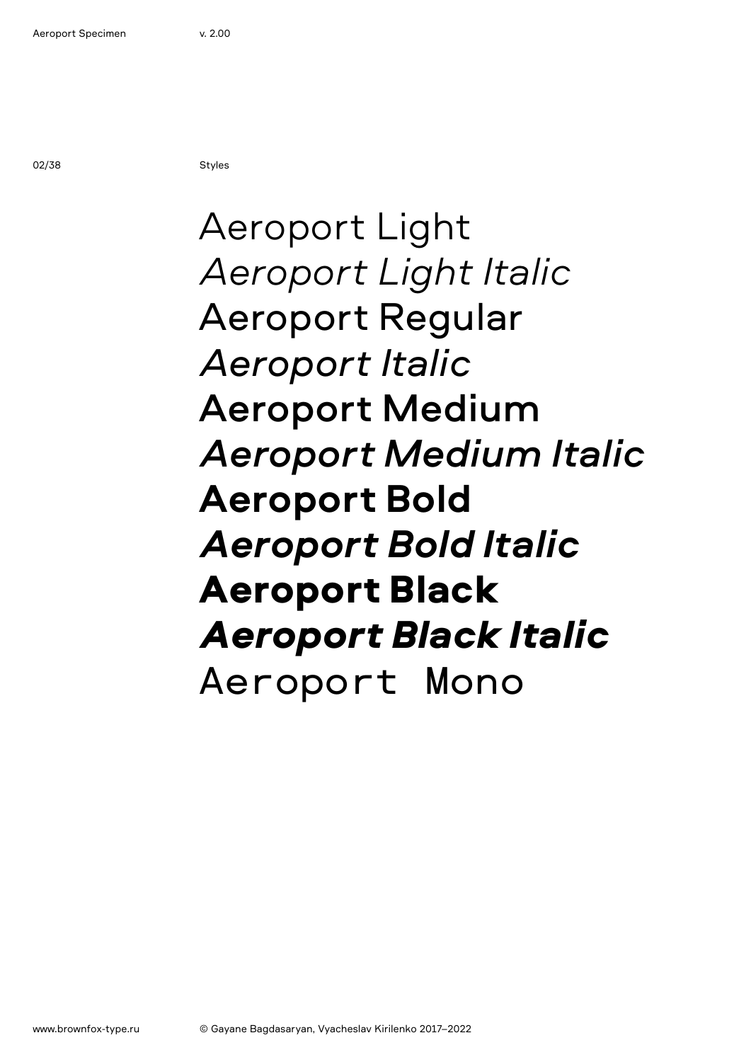02/38 Styles

### Aeroport Light *Aeroport Light Italic* Aeroport Regular *Aeroport Italic* Aeroport Medium *Aeroport Medium Italic* **Aeroport Bold** *Aeroport Bold Italic* Aeroport Black *Aeroport Black Italic* Aeroport Mono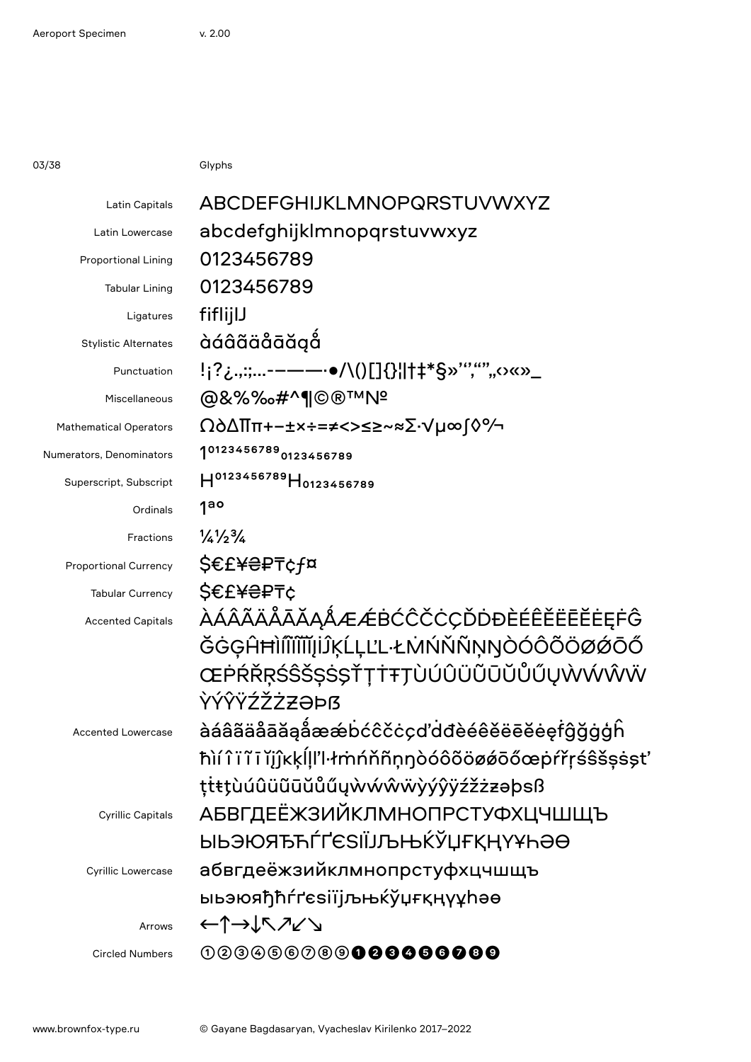03/38 Glyphs

| Latin Capitals              | ABCDEFGHIJKLMNOPQRSTUVWXYZ                                                                                                                                                                                                                                                                                                                                                                                                                                                                                                                                                                                                                                                                                                                                                                                                                                                                                                                                                                                                                                                                                                                                                                                                                                                                                                                                                                                                                                                           |
|-----------------------------|--------------------------------------------------------------------------------------------------------------------------------------------------------------------------------------------------------------------------------------------------------------------------------------------------------------------------------------------------------------------------------------------------------------------------------------------------------------------------------------------------------------------------------------------------------------------------------------------------------------------------------------------------------------------------------------------------------------------------------------------------------------------------------------------------------------------------------------------------------------------------------------------------------------------------------------------------------------------------------------------------------------------------------------------------------------------------------------------------------------------------------------------------------------------------------------------------------------------------------------------------------------------------------------------------------------------------------------------------------------------------------------------------------------------------------------------------------------------------------------|
| Latin Lowercase             | abcdefghijklmnopqrstuvwxyz                                                                                                                                                                                                                                                                                                                                                                                                                                                                                                                                                                                                                                                                                                                                                                                                                                                                                                                                                                                                                                                                                                                                                                                                                                                                                                                                                                                                                                                           |
| <b>Proportional Lining</b>  | 0123456789                                                                                                                                                                                                                                                                                                                                                                                                                                                                                                                                                                                                                                                                                                                                                                                                                                                                                                                                                                                                                                                                                                                                                                                                                                                                                                                                                                                                                                                                           |
| <b>Tabular Lining</b>       | 0123456789                                                                                                                                                                                                                                                                                                                                                                                                                                                                                                                                                                                                                                                                                                                                                                                                                                                                                                                                                                                                                                                                                                                                                                                                                                                                                                                                                                                                                                                                           |
| Ligatures                   | fiflijlJ                                                                                                                                                                                                                                                                                                                                                                                                                                                                                                                                                                                                                                                                                                                                                                                                                                                                                                                                                                                                                                                                                                                                                                                                                                                                                                                                                                                                                                                                             |
| <b>Stylistic Alternates</b> | àáâãäåāăgå                                                                                                                                                                                                                                                                                                                                                                                                                                                                                                                                                                                                                                                                                                                                                                                                                                                                                                                                                                                                                                                                                                                                                                                                                                                                                                                                                                                                                                                                           |
| Punctuation                 | !¡?¿.,:;-–——·•/\()[]{}¦ †‡*§»'","""0«»_                                                                                                                                                                                                                                                                                                                                                                                                                                                                                                                                                                                                                                                                                                                                                                                                                                                                                                                                                                                                                                                                                                                                                                                                                                                                                                                                                                                                                                              |
| Miscellaneous               | @&%%&#^¶©®™N<del>°</del></th></tr><tr><th><b>Mathematical Operators</b></th><th>Ω∂∆∏π+−±×÷=≠<>≤≥~≈∑∙√µ∞∫◊%</th></tr><tr><th>Numerators, Denominators</th><th>10123456789 0123456789</th></tr><tr><th>Superscript, Subscript</th><th>H0123456789H0123456789</th></tr><tr><th>Ordinals</th><th>1ao</th></tr><tr><th>Fractions</th><th><math>\frac{1}{4}\frac{1}{2}\frac{3}{4}</math></th></tr><tr><th><b>Proportional Currency</b></th><th><b>\$€£¥</b>₴₽₸¢f¤</th></tr><tr><th><b>Tabular Currency</b></th><th><b>S€£¥₴₽₸¢</b></th></tr><tr><th><b>Accented Capitals</b></th><th><u> ÀÁÂÃÄÄĀĂĀAÂÆÆBĆĈČĊÇĎDĐÈÉÊĚËĒĔĖĘFĜ</u></th></tr><tr><th></th><th>ĞĠĢĤĦÌſĨĨĬĬĬĮIJŖĹĻĽĿŁMŃŇŇŅŊÒÓÔÕÖØØŌŐ</th></tr><tr><th></th><th>ŒPŔŘŖŚŜŠŞŚŞŤŢŤŦŢÙÚÛÜŨŨŬŮŰŲŴŴŴŴ</th></tr><tr><th></th><th>ŶÝŶŸŹŽŻZ<del>Z</del>ƏÞß</th></tr><tr><th><b>Accented Lowercase</b></th><th>àáâãäåāăąåææbćĉčcçd'ddèéêěëēĕėęfĝğġģh</th></tr><tr><th></th><th>ħìí î ï ĩ ĭ ĭjĵĸķĺḷľŀłmńňñṇŋòóôõöøǿōőœpŕřŗśŝšṣṡşt'</th></tr><tr><th></th><th>ttttuúûüũūŭůűywwŵŵÿýŷÿźžżzəþsß</th></tr><tr><th><b>Cyrillic Capitals</b></th><th><b>АБВГДЕЁЖЗИЙКЛМНОПРСТУФХЦЧШЩЪ</b></th></tr><tr><th></th><th>ӸҌӬЮЯЂЋЃҐЄЅӀЇЈЉЊЌЎЏҒҚҢҮҰҺӘӨ</th></tr><tr><th>Cyrillic Lowercase</th><th>абвгдеёжзийклмнопрстуфхцчшщъ</th></tr><tr><th></th><th>ыьэюяђћѓґєѕіїјљњќўџғқңүұһәө</th></tr><tr><th>Arrows</th><th>←↑→↓↖↗↙↘</th></tr><tr><th><b>Circled Numbers</b></th><th>000066009<b>000000000</b></th></tr><tr><th></th><td></td></tr></tbody></table> |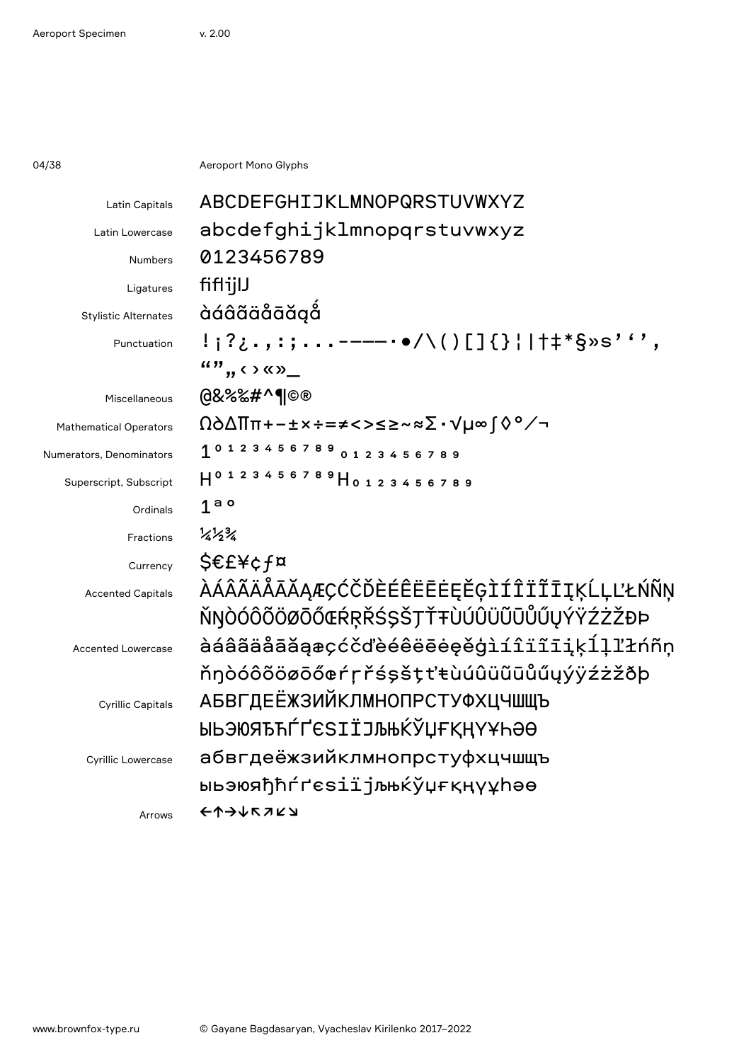04/38 **Aeroport Mono Glyphs** 

| ABCDEFGHIJKLMNOPQRSTUVWXYZ                           |
|------------------------------------------------------|
| abcdefghijklmnopqrstuvwxyz                           |
| 0123456789                                           |
| fiflijlJ                                             |
| àáâãäåāăąå                                           |
| !¡?¿.,:;-——-••/\()[]{}¦ †‡*§»s''',                   |
| $\mathbf{w}$ , $\mathbf{w}$ , $\mathbf{w}$           |
| @&%‰#^¶©®                                            |
| Ω∂∆∏π+−±×÷=≠<>≤≥~≈∑∙√µ∞∫◊°∕¬                         |
| 101234567890123456789                                |
| H0123456789H0123456789                               |
| 1 <sup>a</sup>                                       |
| $\frac{1}{4}\frac{1}{2}\frac{3}{4}$                  |
| S€£¥¢f¤                                              |
| <i><b>AÁÂÃÄÄĀĂĄÆÇĆČĎÈÉÊËĒĖĘĚĢÌÍÎÏĨĪĮĶĹĻĽŁŃÑŅ</b></i> |
| ŇŊÒÓÔÕÖØŌŐŒŔŖŘŚŞŠŢŤŦÙÚÛÜŨŨŮŰŲÝŸŹŻŽĐÞ                 |
| àáâãäåāăąæçćčďèéêëēėęěģìíîïĩiįķĺļľłńñņ               |
| ňŋòóôõöøōőœŕŗřśşšţťŧùúûüũūůűųýÿźżžðþ                 |
| <b>АБВГДЕЁЖЗИЙКЛМНОПРСТУФХЦЧШЩЪ</b>                  |
| ЫЬЭЮЯЂЋЃҐЄЅІЇЈЉЊЌЎЏҒҚҢҮҰҺӘӨ                          |
| абвгдеёжзийклмнопрстуфхцчшщъ                         |
| ыьэюяђћѓґєѕіїјљњќўџғқңүұhәө                          |
| ヒカナナドコスプ                                             |
|                                                      |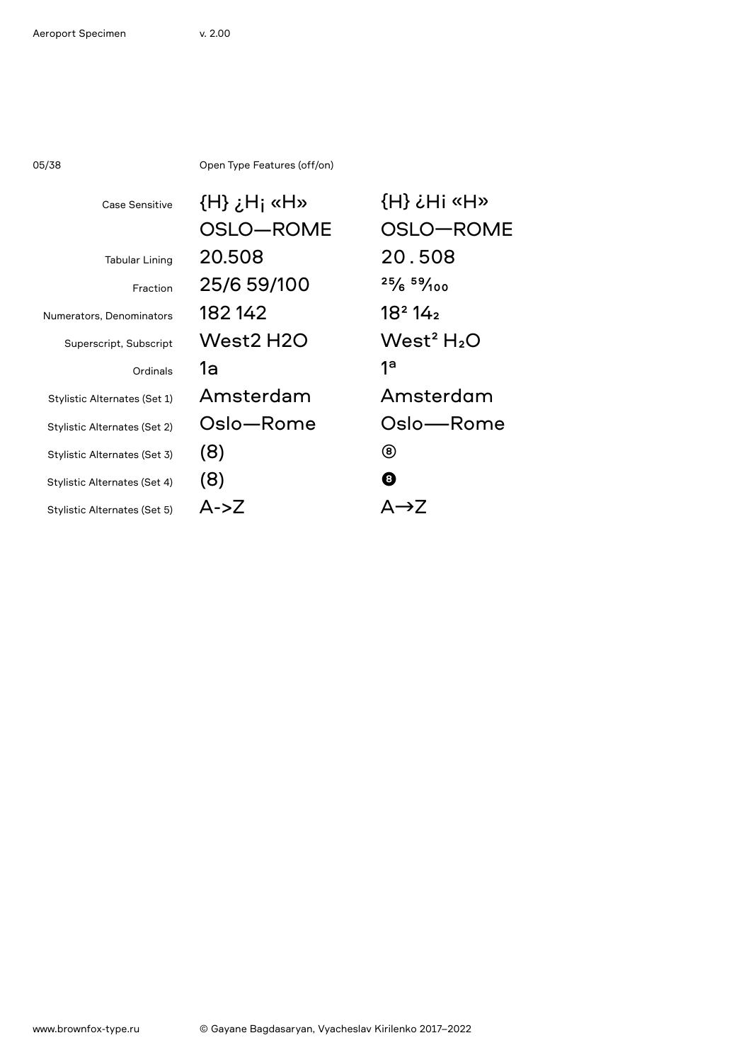05/38 Open Type Features (off/on)

| Case Sensitive               | $(H)$ $\chi$ H <sub>j</sub> «H» | $\{H\}$ $\zeta$ $H$ is $\{H\}$     |
|------------------------------|---------------------------------|------------------------------------|
|                              | OSLO-ROME                       | OSLO-ROME                          |
| <b>Tabular Lining</b>        | 20.508                          | 20.508                             |
| Fraction                     | 25/6 59/100                     | 25/659/100                         |
| Numerators, Denominators     | 182142                          | 18 <sup>2</sup> 14 <sub>2</sub>    |
| Superscript, Subscript       | West2 H2O                       | West <sup>2</sup> H <sub>2</sub> O |
| Ordinals                     | 1a                              | 1 <sup>a</sup>                     |
| Stylistic Alternates (Set 1) | Amsterdam                       | Amsterdam                          |
| Stylistic Alternates (Set 2) | Oslo-Rome                       | Oslo-Rome                          |
| Stylistic Alternates (Set 3) | (8)                             | (8)                                |
| Stylistic Alternates (Set 4) | (8)                             | ❸                                  |
| Stylistic Alternates (Set 5) | $A - Z$                         | $\Delta \rightarrow 7$             |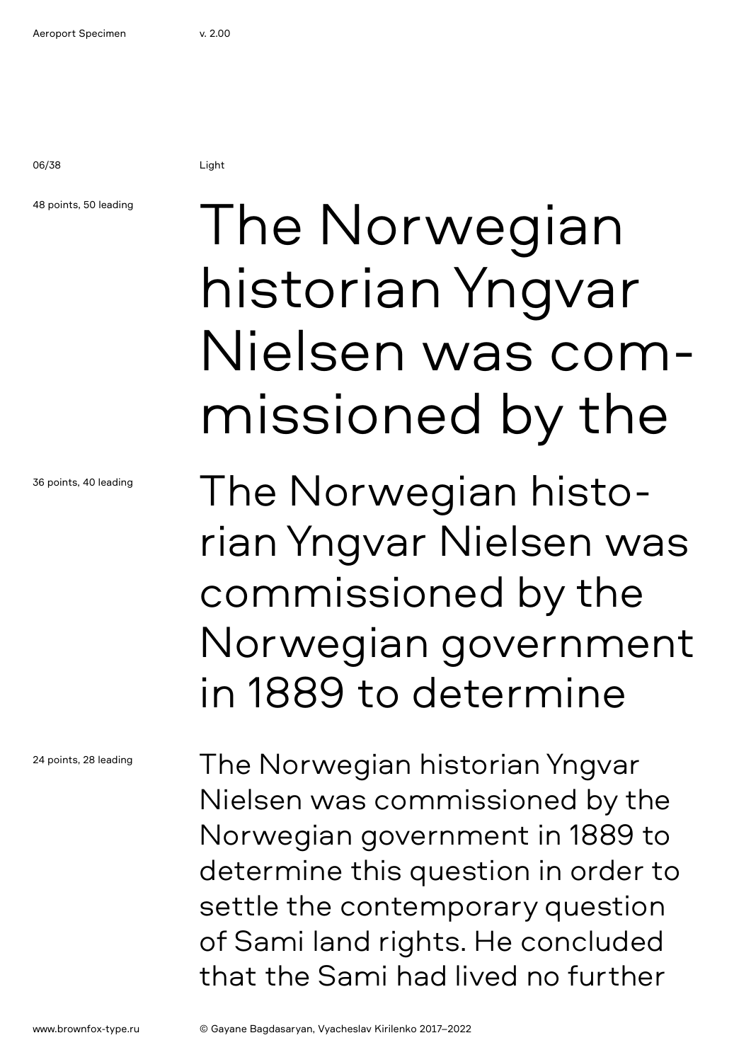### 48 points, 50 leading

36 points, 40 leading

24 points, 28 leading

## The Norwegian historian Yngvar Nielsen was commissioned by the

The Norwegian historian Yngvar Nielsen was commissioned by the Norwegian government in 1889 to determine

The Norwegian historian Yngvar Nielsen was commissioned by the Norwegian government in 1889 to determine this question in order to settle the contemporary question of Sami land rights. He concluded that the Sami had lived no further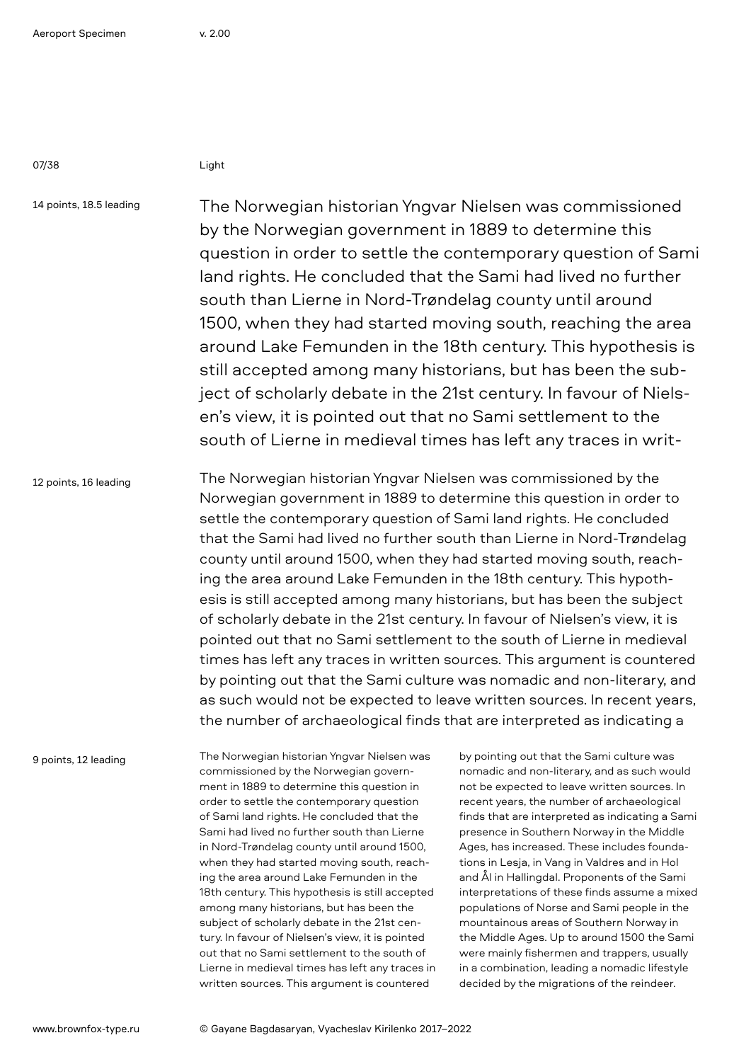14 points, 18.5 leading

The Norwegian historian Yngvar Nielsen was commissioned by the Norwegian government in 1889 to determine this question in order to settle the contemporary question of Sami land rights. He concluded that the Sami had lived no further south than Lierne in Nord-Trøndelag county until around 1500, when they had started moving south, reaching the area around Lake Femunden in the 18th century. This hypothesis is still accepted among many historians, but has been the subject of scholarly debate in the 21st century. In favour of Nielsen's view, it is pointed out that no Sami settlement to the south of Lierne in medieval times has left any traces in writ-

12 points, 16 leading

The Norwegian historian Yngvar Nielsen was commissioned by the Norwegian government in 1889 to determine this question in order to settle the contemporary question of Sami land rights. He concluded that the Sami had lived no further south than Lierne in Nord-Trøndelag county until around 1500, when they had started moving south, reaching the area around Lake Femunden in the 18th century. This hypothesis is still accepted among many historians, but has been the subject of scholarly debate in the 21st century. In favour of Nielsen's view, it is pointed out that no Sami settlement to the south of Lierne in medieval times has left any traces in written sources. This argument is countered by pointing out that the Sami culture was nomadic and non-literary, and as such would not be expected to leave written sources. In recent years, the number of archaeological finds that are interpreted as indicating a

9 points, 12 leading

The Norwegian historian Yngvar Nielsen was commissioned by the Norwegian government in 1889 to determine this question in order to settle the contemporary question of Sami land rights. He concluded that the Sami had lived no further south than Lierne in Nord-Trøndelag county until around 1500, when they had started moving south, reaching the area around Lake Femunden in the 18th century. This hypothesis is still accepted among many historians, but has been the subject of scholarly debate in the 21st century. In favour of Nielsen's view, it is pointed out that no Sami settlement to the south of Lierne in medieval times has left any traces in written sources. This argument is countered

by pointing out that the Sami culture was nomadic and non-literary, and as such would not be expected to leave written sources. In recent years, the number of archaeological finds that are interpreted as indicating a Sami presence in Southern Norway in the Middle Ages, has increased. These includes foundations in Lesja, in Vang in Valdres and in Hol and Ål in Hallingdal. Proponents of the Sami interpretations of these finds assume a mixed populations of Norse and Sami people in the mountainous areas of Southern Norway in the Middle Ages. Up to around 1500 the Sami were mainly fishermen and trappers, usually in a combination, leading a nomadic lifestyle decided by the migrations of the reindeer.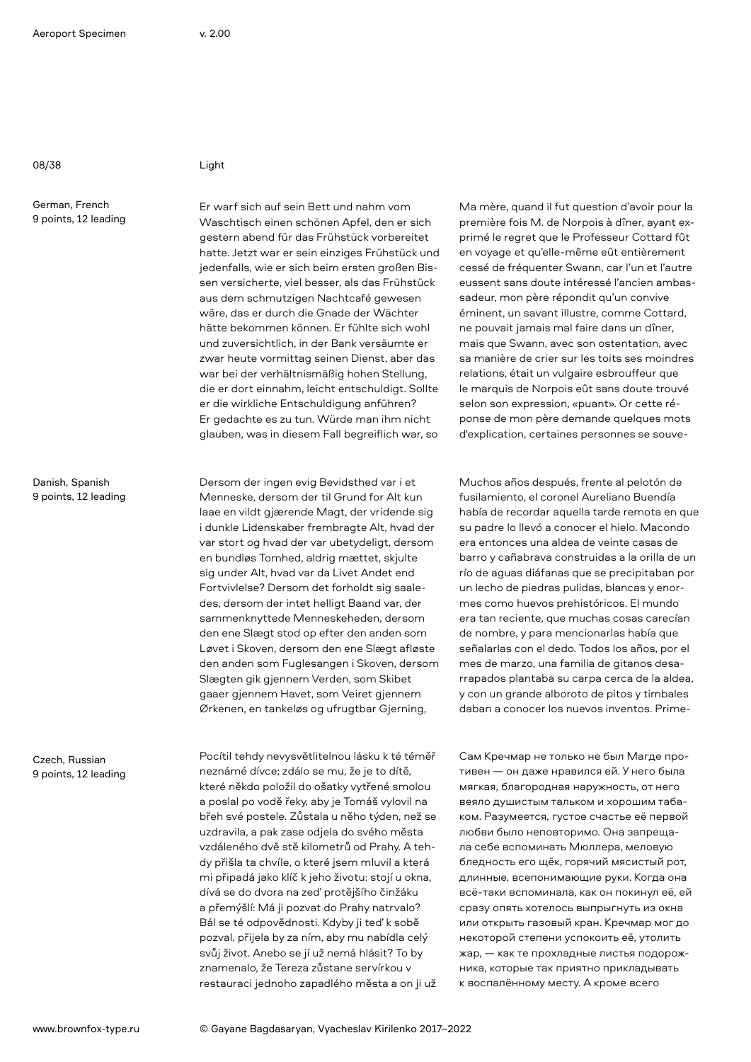German, French 9 points, 12 leading

Danish, Spanish 9 points, 12 leading

Czech, Russian 9 points, 12 leading

Er warf sich auf sein Bett und nahm vom Waschtisch einen schönen Apfel, den er sich gestern abend für das Frühstück vorbereitet hatte. Jetzt war er sein einziges Frühstück und jedenfalls, wie er sich beim ersten großen Bissen versicherte, viel besser, als das Frühstück aus dem schmutzigen Nachtcafé gewesen wäre, das er durch die Gnade der Wächter hätte bekommen können. Er fühlte sich wohl und zuversichtlich, in der Bank versäumte er zwar heute vormittag seinen Dienst, aber das war bei der verhältnismäßig hohen Stellung, die er dort einnahm, leicht entschuldigt. Sollte er die wirkliche Entschuldigung anführen? Er gedachte es zu tun. Würde man ihm nicht glauben, was in diesem Fall begreiflich war, so

Dersom der ingen evig Bevidsthed var i et Menneske, dersom der til Grund for Alt kun laae en vildt gjærende Magt, der vridende sig i dunkle Lidenskaber frembragte Alt, hvad der var stort og hvad der var ubetydeligt, dersom en bundløs Tomhed, aldrig mættet, skjulte sig under Alt, hvad var da Livet Andet end Fortvivlelse? Dersom det forholdt sig saaledes, dersom der intet helligt Baand var, der sammenknyttede Menneskeheden, dersom den ene Slægt stod op efter den anden som Løvet i Skoven, dersom den ene Slægt afløste den anden som Fuglesangen i Skoven, dersom Slægten gik gjennem Verden, som Skibet gaaer gjennem Havet, som Veiret gjennem Ørkenen, en tankeløs og ufrugtbar Gjerning,

Pocítil tehdy nevysvětlitelnou lásku k té téměř neznámé dívce; zdálo se mu, že je to dítě, které někdo položil do ošatky vytřené smolou a poslal po vodě řeky, aby je Tomáš vylovil na břeh své postele. Zůstala u něho týden, než se uzdravila, a pak zase odjela do svého města vzdáleného dvě stě kilometrů od Prahy. A tehdy přišla ta chvíle, o které jsem mluvil a která mi připadá jako klíč k jeho životu: stojí u okna, dívá se do dvora na zeď protějšího činžáku a přemýšlí: Má ji pozvat do Prahy natrvalo? Bál se té odpovědnosti. Kdyby ji teď k sobě pozval, přijela by za ním, aby mu nabídla celý svůj život. Anebo se jí už nemá hlásit? To by znamenalo, že Tereza zůstane servírkou v restauraci jednoho zapadlého města a on ji už Ma mère, quand il fut question d'avoir pour la première fois M. de Norpois à dîner, ayant exprimé le regret que le Professeur Cottard fût en voyage et qu'elle-même eût entièrement cessé de fréquenter Swann, car l'un et l'autre eussent sans doute intéressé l'ancien ambassadeur, mon père répondit qu'un convive éminent, un savant illustre, comme Cottard, ne pouvait jamais mal faire dans un dîner, mais que Swann, avec son ostentation, avec sa manière de crier sur les toits ses moindres relations, était un vulgaire esbrouffeur que le marquis de Norpois eût sans doute trouvé selon son expression, «puant». Or cette réponse de mon père demande quelques mots d'explication, certaines personnes se souve-

Muchos años después, frente al pelotón de fusilamiento, el coronel Aureliano Buendía había de recordar aquella tarde remota en que su padre lo llevó a conocer el hielo. Macondo era entonces una aldea de veinte casas de barro y cañabrava construidas a la orilla de un río de aguas diáfanas que se precipitaban por un lecho de piedras pulidas, blancas y enormes como huevos prehistóricos. El mundo era tan reciente, que muchas cosas carecían de nombre, y para mencionarlas había que señalarlas con el dedo. Todos los años, por el mes de marzo, una familia de gitanos desarrapados plantaba su carpa cerca de la aldea, y con un grande alboroto de pitos y timbales daban a conocer los nuevos inventos. Prime-

Сам Кречмар не только не был Магде противен — он даже нравился ей. У него была мягкая, благородная наружность, от него веяло душистым тальком и хорошим табаком. Разумеется, густое счастье её первой любви было неповторимо. Она запрещала себе вспоминать Мюллера, меловую бледность его щёк, горячий мясистый рот, длинные, всепонимающие руки. Когда она всё-таки вспоминала, как он покинул её, ей сразу опять хотелось выпрыгнуть из окна или открыть газовый кран. Кречмар мог до некоторой степени успокоить её, утолить жар, — как те прохладные листья подорожника, которые так приятно прикладывать к воспалённому месту. А кроме всего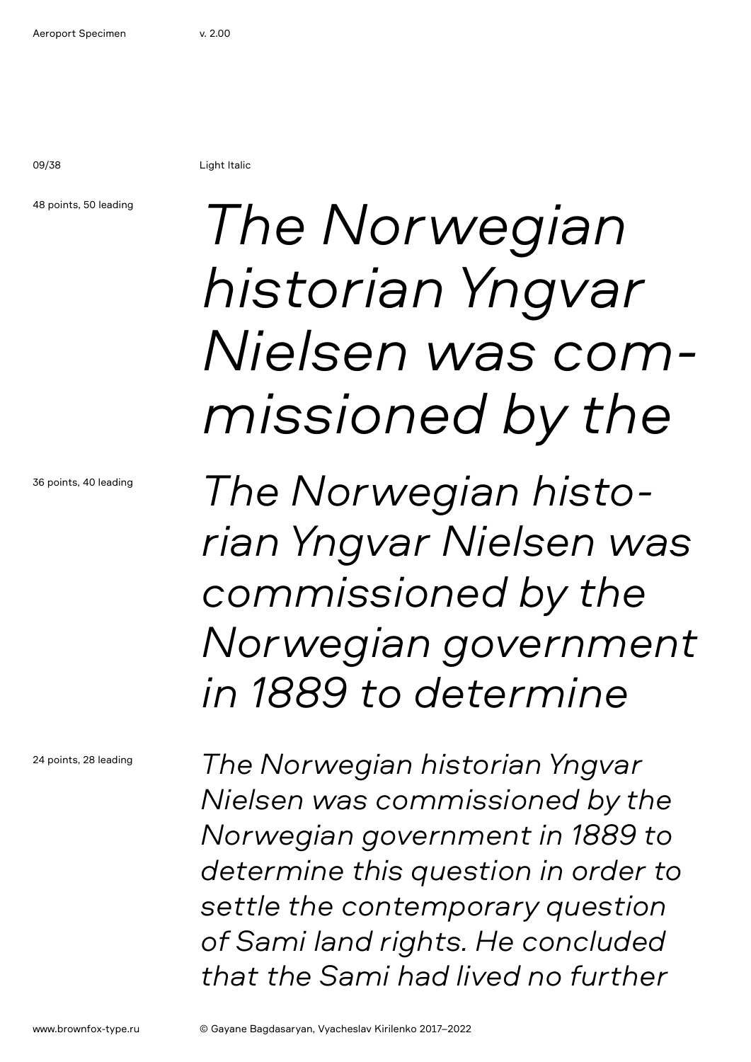09/38 Light Italic

### 48 points, 50 leading

*The Norwegian historian Yngvar Nielsen was commissioned by the*

*The Norwegian historian Yngvar Nielsen was commissioned by the Norwegian government in 1889 to determine* 

24 points, 28 leading

36 points, 40 leading

*The Norwegian historian Yngvar Nielsen was commissioned by the Norwegian government in 1889 to determine this question in order to settle the contemporary question of Sami land rights. He concluded that the Sami had lived no further*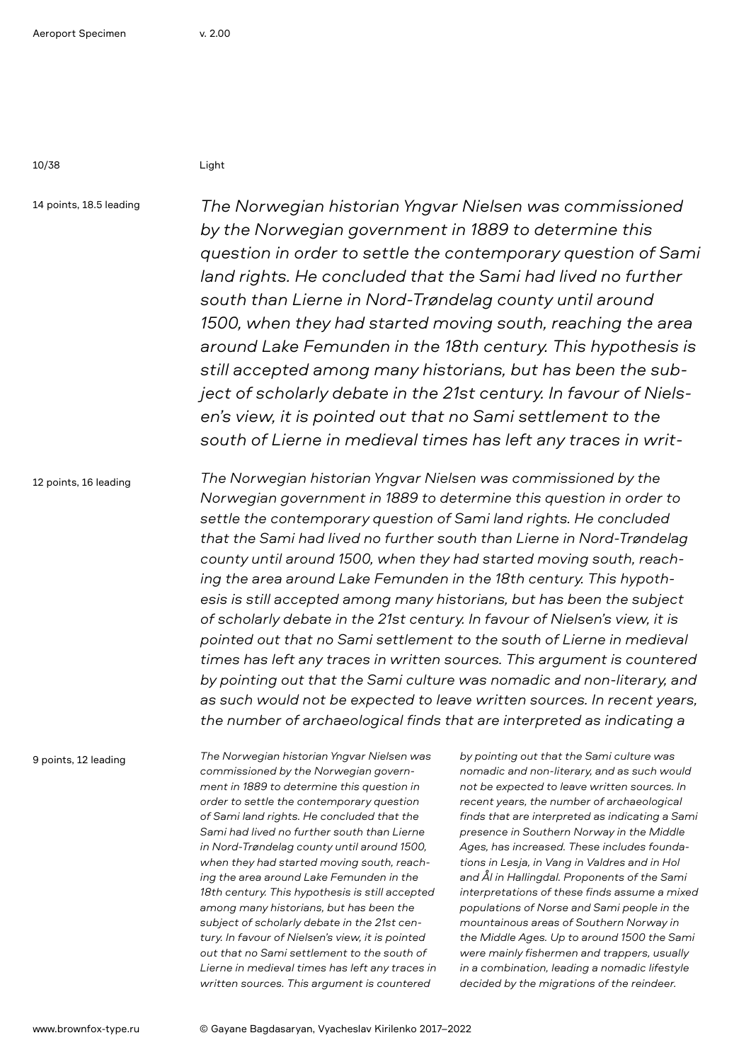14 points, 18.5 leading

*The Norwegian historian Yngvar Nielsen was commissioned by the Norwegian government in 1889 to determine this question in order to settle the contemporary question of Sami*  land rights. He concluded that the Sami had lived no further *south than Lierne in Nord-Trøndelag county until around 1500, when they had started moving south, reaching the area around Lake Femunden in the 18th century. This hypothesis is still accepted among many historians, but has been the subject of scholarly debate in the 21st century. In favour of Nielsen's view, it is pointed out that no Sami settlement to the south of Lierne in medieval times has left any traces in writ-*

12 points, 16 leading

*The Norwegian historian Yngvar Nielsen was commissioned by the Norwegian government in 1889 to determine this question in order to settle the contemporary question of Sami land rights. He concluded that the Sami had lived no further south than Lierne in Nord-Trøndelag county until around 1500, when they had started moving south, reaching the area around Lake Femunden in the 18th century. This hypothesis is still accepted among many historians, but has been the subject of scholarly debate in the 21st century. In favour of Nielsen's view, it is pointed out that no Sami settlement to the south of Lierne in medieval times has left any traces in written sources. This argument is countered by pointing out that the Sami culture was nomadic and non-literary, and as such would not be expected to leave written sources. In recent years, the number of archaeological finds that are interpreted as indicating a* 

9 points, 12 leading

*The Norwegian historian Yngvar Nielsen was commissioned by the Norwegian government in 1889 to determine this question in order to settle the contemporary question of Sami land rights. He concluded that the Sami had lived no further south than Lierne in Nord-Trøndelag county until around 1500, when they had started moving south, reaching the area around Lake Femunden in the 18th century. This hypothesis is still accepted among many historians, but has been the subject of scholarly debate in the 21st century. In favour of Nielsen's view, it is pointed out that no Sami settlement to the south of Lierne in medieval times has left any traces in written sources. This argument is countered* 

*by pointing out that the Sami culture was nomadic and non-literary, and as such would not be expected to leave written sources. In recent years, the number of archaeological finds that are interpreted as indicating a Sami presence in Southern Norway in the Middle Ages, has increased. These includes foundations in Lesja, in Vang in Valdres and in Hol and Ål in Hallingdal. Proponents of the Sami interpretations of these finds assume a mixed populations of Norse and Sami people in the mountainous areas of Southern Norway in the Middle Ages. Up to around 1500 the Sami were mainly fishermen and trappers, usually in a combination, leading a nomadic lifestyle decided by the migrations of the reindeer.*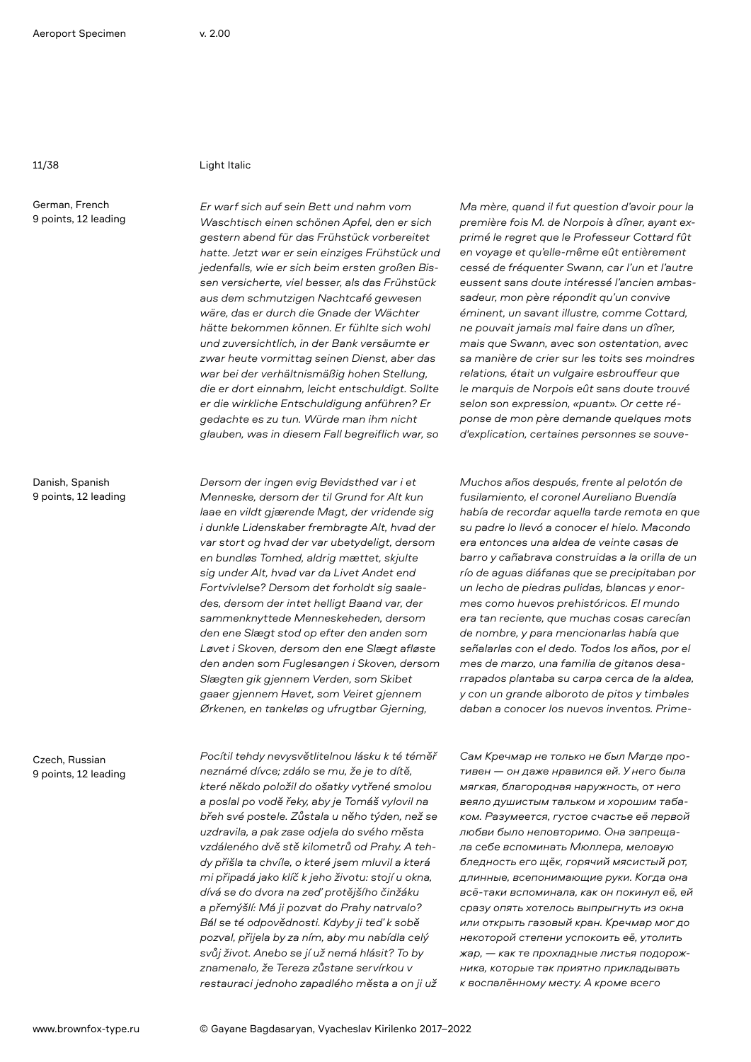### 11/38 Light Italic

German, French 9 points, 12 leading

Danish, Spanish 9 points, 12 leading

Czech, Russian 9 points, 12 leading

*Er warf sich auf sein Bett und nahm vom Waschtisch einen schönen Apfel, den er sich gestern abend für das Frühstück vorbereitet hatte. Jetzt war er sein einziges Frühstück und jedenfalls, wie er sich beim ersten großen Bissen versicherte, viel besser, als das Frühstück aus dem schmutzigen Nachtcafé gewesen wäre, das er durch die Gnade der Wächter hätte bekommen können. Er fühlte sich wohl und zuversichtlich, in der Bank versäumte er zwar heute vormittag seinen Dienst, aber das war bei der verhältnismäßig hohen Stellung, die er dort einnahm, leicht entschuldigt. Sollte er die wirkliche Entschuldigung anführen? Er gedachte es zu tun. Würde man ihm nicht glauben, was in diesem Fall begreiflich war, so*

*Dersom der ingen evig Bevidsthed var i et Menneske, dersom der til Grund for Alt kun laae en vildt gjærende Magt, der vridende sig i dunkle Lidenskaber frembragte Alt, hvad der var stort og hvad der var ubetydeligt, dersom en bundløs Tomhed, aldrig mættet, skjulte sig under Alt, hvad var da Livet Andet end Fortvivlelse? Dersom det forholdt sig saaledes, dersom der intet helligt Baand var, der sammenknyttede Menneskeheden, dersom den ene Slægt stod op efter den anden som Løvet i Skoven, dersom den ene Slægt afløste den anden som Fuglesangen i Skoven, dersom Slægten gik gjennem Verden, som Skibet gaaer gjennem Havet, som Veiret gjennem Ørkenen, en tankeløs og ufrugtbar Gjerning,* 

*Pocítil tehdy nevysvětlitelnou lásku k té téměř neznámé dívce; zdálo se mu, že je to dítě, které někdo položil do ošatky vytřené smolou a poslal po vodě řeky, aby je Tomáš vylovil na břeh své postele. Zůstala u něho týden, než se uzdravila, a pak zase odjela do svého města vzdáleného dvě stě kilometrů od Prahy. A tehdy přišla ta chvíle, o které jsem mluvil a která mi připadá jako klíč k jeho životu: stojí u okna, dívá se do dvora na zeď protějšího činžáku a přemýšlí: Má ji pozvat do Prahy natrvalo? Bál se té odpovědnosti. Kdyby ji teď k sobě pozval, přijela by za ním, aby mu nabídla celý svůj život. Anebo se jí už nemá hlásit? To by znamenalo, že Tereza zůstane servírkou v restauraci jednoho zapadlého města a on ji už* 

*Ma mère, quand il fut question d'avoir pour la première fois M. de Norpois à dîner, ayant exprimé le regret que le Professeur Cottard fût en voyage et qu'elle-même eût entièrement cessé de fréquenter Swann, car l'un et l'autre eussent sans doute intéressé l'ancien ambassadeur, mon père répondit qu'un convive éminent, un savant illustre, comme Cottard, ne pouvait jamais mal faire dans un dîner, mais que Swann, avec son ostentation, avec sa manière de crier sur les toits ses moindres relations, était un vulgaire esbrouffeur que le marquis de Norpois eût sans doute trouvé selon son expression, «puant». Or cette réponse de mon père demande quelques mots d'explication, certaines personnes se souve-*

*Muchos años después, frente al pelotón de fusilamiento, el coronel Aureliano Buendía había de recordar aquella tarde remota en que su padre lo llevó a conocer el hielo. Macondo era entonces una aldea de veinte casas de barro y cañabrava construidas a la orilla de un río de aguas diáfanas que se precipitaban por un lecho de piedras pulidas, blancas y enormes como huevos prehistóricos. El mundo era tan reciente, que muchas cosas carecían de nombre, y para mencionarlas había que señalarlas con el dedo. Todos los años, por el mes de marzo, una familia de gitanos desarrapados plantaba su carpa cerca de la aldea, y con un grande alboroto de pitos y timbales daban a conocer los nuevos inventos. Prime-*

*Сам Кречмар не только не был Магде противен — он даже нравился ей. У него была мягкая, благородная наружность, от него веяло душистым тальком и хорошим табаком. Разумеется, густое счастье её первой любви было неповторимо. Она запрещала себе вспоминать Мюллера, меловую бледность его щёк, горячий мясистый рот, длинные, всепонимающие руки. Когда она всё-таки вспоминала, как он покинул её, ей сразу опять хотелось выпрыгнуть из окна или открыть газовый кран. Кречмар мог до некоторой степени успокоить её, утолить жар, — как те прохладные листья подорожника, которые так приятно прикладывать к воспалённому месту. А кроме всего*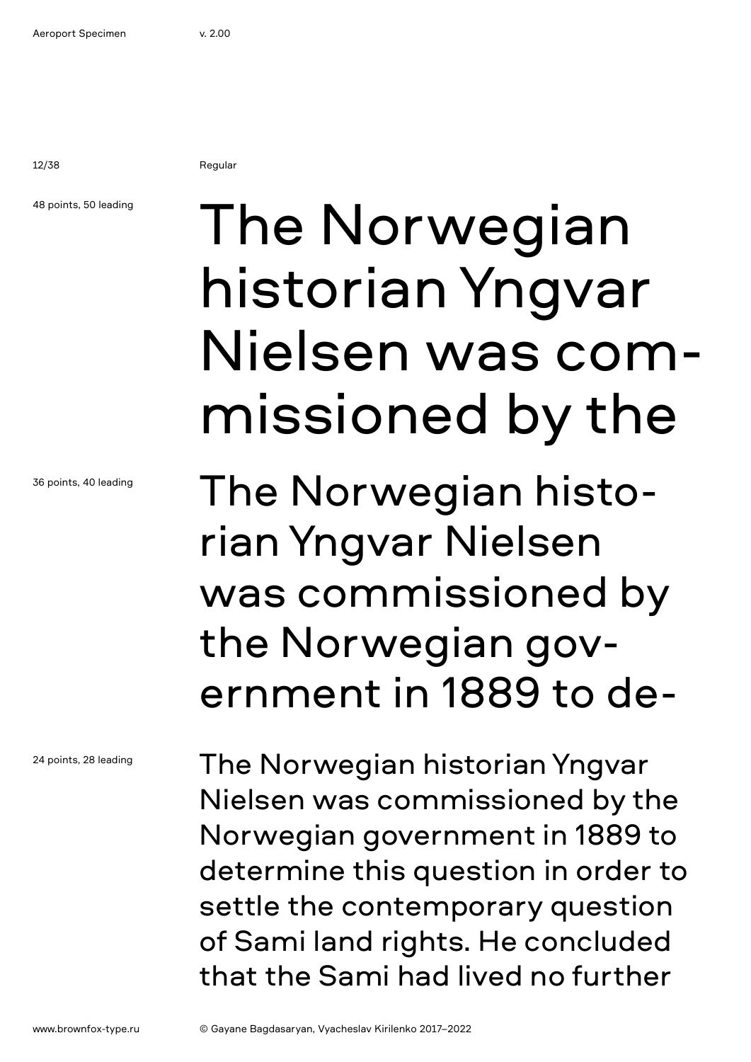12/38 Regular

### 48 points, 50 leading

historian Yngvar Nielsen was commissioned by the

The Norwegian

The Norwegian historian Yngvar Nielsen was commissioned by the Norwegian government in 1889 to de-

The Norwegian historian Yngvar Nielsen was commissioned by the Norwegian government in 1889 to determine this question in order to settle the contemporary question of Sami land rights. He concluded that the Sami had lived no further

36 points, 40 leading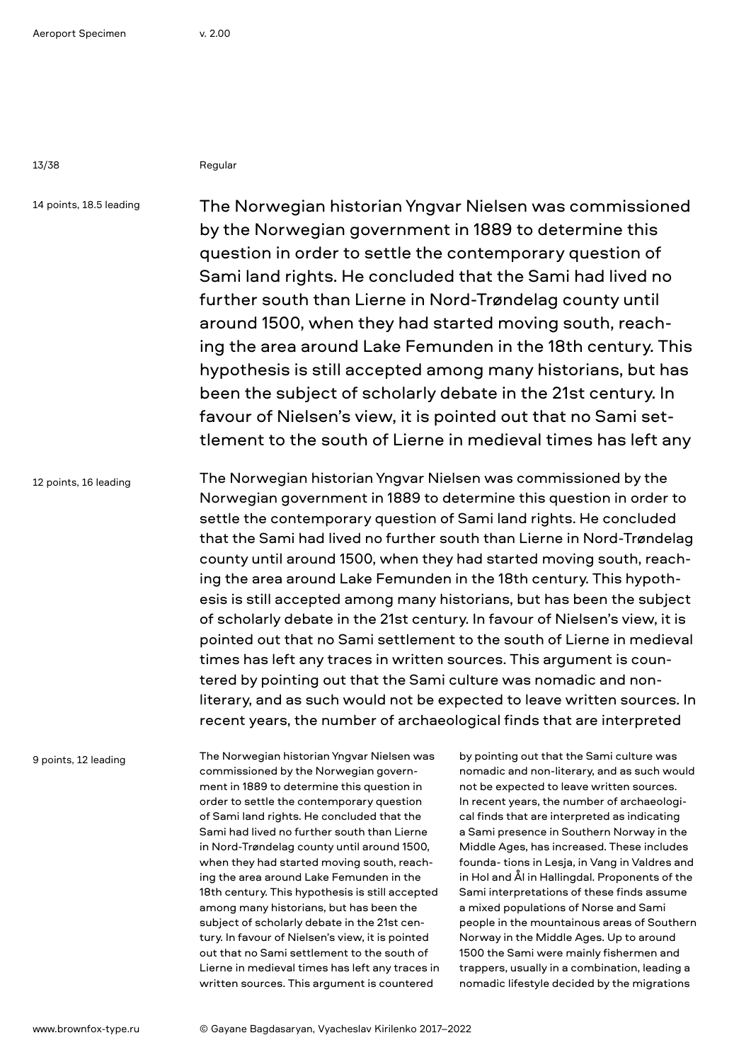13/38 Regular

14 points, 18.5 leading

The Norwegian historian Yngvar Nielsen was commissioned by the Norwegian government in 1889 to determine this question in order to settle the contemporary question of Sami land rights. He concluded that the Sami had lived no further south than Lierne in Nord-Trøndelag county until around 1500, when they had started moving south, reaching the area around Lake Femunden in the 18th century. This hypothesis is still accepted among many historians, but has been the subject of scholarly debate in the 21st century. In favour of Nielsen's view, it is pointed out that no Sami settlement to the south of Lierne in medieval times has left any

12 points, 16 leading The Norwegian historian Yngvar Nielsen was commissioned by the Norwegian government in 1889 to determine this question in order to settle the contemporary question of Sami land rights. He concluded that the Sami had lived no further south than Lierne in Nord-Trøndelag county until around 1500, when they had started moving south, reaching the area around Lake Femunden in the 18th century. This hypothesis is still accepted among many historians, but has been the subject of scholarly debate in the 21st century. In favour of Nielsen's view, it is pointed out that no Sami settlement to the south of Lierne in medieval times has left any traces in written sources. This argument is countered by pointing out that the Sami culture was nomadic and nonliterary, and as such would not be expected to leave written sources. In recent years, the number of archaeological finds that are interpreted

9 points, 12 leading

The Norwegian historian Yngvar Nielsen was commissioned by the Norwegian government in 1889 to determine this question in order to settle the contemporary question of Sami land rights. He concluded that the Sami had lived no further south than Lierne in Nord-Trøndelag county until around 1500, when they had started moving south, reaching the area around Lake Femunden in the 18th century. This hypothesis is still accepted among many historians, but has been the subject of scholarly debate in the 21st century. In favour of Nielsen's view, it is pointed out that no Sami settlement to the south of Lierne in medieval times has left any traces in written sources. This argument is countered

by pointing out that the Sami culture was nomadic and non-literary, and as such would not be expected to leave written sources. In recent years, the number of archaeological finds that are interpreted as indicating a Sami presence in Southern Norway in the Middle Ages, has increased. These includes founda- tions in Lesja, in Vang in Valdres and in Hol and Ål in Hallingdal. Proponents of the Sami interpretations of these finds assume a mixed populations of Norse and Sami people in the mountainous areas of Southern Norway in the Middle Ages. Up to around 1500 the Sami were mainly fishermen and trappers, usually in a combination, leading a nomadic lifestyle decided by the migrations

www.brownfox-type.ru © Gayane Bagdasaryan, Vyacheslav Kirilenko 2017–2022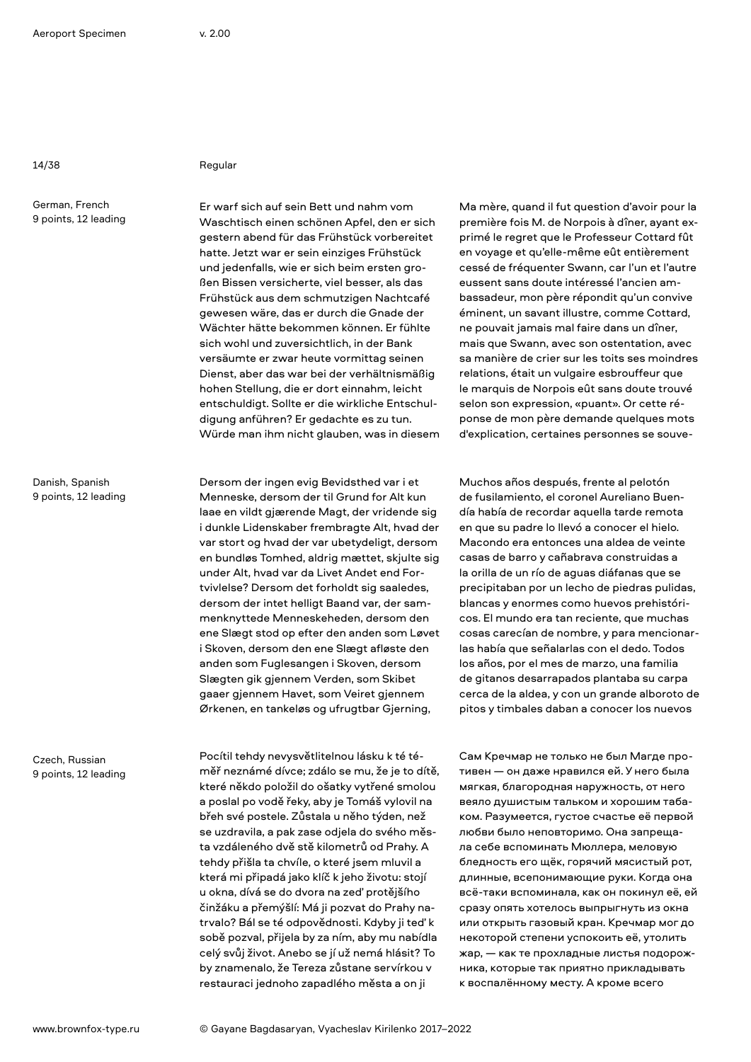German, French 9 points, 12 leading

Danish, Spanish 9 points, 12 leading

Czech, Russian 9 points, 12 leading

14/38 Regular

Er warf sich auf sein Bett und nahm vom Waschtisch einen schönen Apfel, den er sich gestern abend für das Frühstück vorbereitet hatte. Jetzt war er sein einziges Frühstück und jedenfalls, wie er sich beim ersten großen Bissen versicherte, viel besser, als das Frühstück aus dem schmutzigen Nachtcafé gewesen wäre, das er durch die Gnade der Wächter hätte bekommen können. Er fühlte sich wohl und zuversichtlich, in der Bank versäumte er zwar heute vormittag seinen Dienst, aber das war bei der verhältnismäßig hohen Stellung, die er dort einnahm, leicht entschuldigt. Sollte er die wirkliche Entschuldigung anführen? Er gedachte es zu tun. Würde man ihm nicht glauben, was in diesem

Dersom der ingen evig Bevidsthed var i et Menneske, dersom der til Grund for Alt kun laae en vildt gjærende Magt, der vridende sig i dunkle Lidenskaber frembragte Alt, hvad der var stort og hvad der var ubetydeligt, dersom en bundløs Tomhed, aldrig mættet, skjulte sig under Alt, hvad var da Livet Andet end Fortvivlelse? Dersom det forholdt sig saaledes, dersom der intet helligt Baand var, der sammenknyttede Menneskeheden, dersom den ene Slægt stod op efter den anden som Løvet i Skoven, dersom den ene Slægt afløste den anden som Fuglesangen i Skoven, dersom Slægten gik gjennem Verden, som Skibet gaaer gjennem Havet, som Veiret gjennem Ørkenen, en tankeløs og ufrugtbar Gjerning,

Pocítil tehdy nevysvětlitelnou lásku k té téměř neznámé dívce; zdálo se mu, že je to dítě, které někdo položil do ošatky vytřené smolou a poslal po vodě řeky, aby je Tomáš vylovil na břeh své postele. Zůstala u něho týden, než se uzdravila, a pak zase odjela do svého města vzdáleného dvě stě kilometrů od Prahy. A tehdy přišla ta chvíle, o které jsem mluvil a která mi připadá jako klíč k jeho životu: stojí u okna, dívá se do dvora na zeď protějšího činžáku a přemýšlí: Má ji pozvat do Prahy natrvalo? Bál se té odpovědnosti. Kdyby ji teď k sobě pozval, přijela by za ním, aby mu nabídla celý svůj život. Anebo se jí už nemá hlásit? To by znamenalo, že Tereza zůstane servírkou v restauraci jednoho zapadlého města a on ji

Ma mère, quand il fut question d'avoir pour la première fois M. de Norpois à dîner, ayant exprimé le regret que le Professeur Cottard fût en voyage et qu'elle-même eût entièrement cessé de fréquenter Swann, car l'un et l'autre eussent sans doute intéressé l'ancien ambassadeur, mon père répondit qu'un convive éminent, un savant illustre, comme Cottard, ne pouvait jamais mal faire dans un dîner, mais que Swann, avec son ostentation, avec sa manière de crier sur les toits ses moindres relations, était un vulgaire esbrouffeur que le marquis de Norpois eût sans doute trouvé selon son expression, «puant». Or cette réponse de mon père demande quelques mots d'explication, certaines personnes se souve-

Muchos años después, frente al pelotón de fusilamiento, el coronel Aureliano Buendía había de recordar aquella tarde remota en que su padre lo llevó a conocer el hielo. Macondo era entonces una aldea de veinte casas de barro y cañabrava construidas a la orilla de un río de aguas diáfanas que se precipitaban por un lecho de piedras pulidas, blancas y enormes como huevos prehistóricos. El mundo era tan reciente, que muchas cosas carecían de nombre, y para mencionarlas había que señalarlas con el dedo. Todos los años, por el mes de marzo, una familia de gitanos desarrapados plantaba su carpa cerca de la aldea, y con un grande alboroto de pitos y timbales daban a conocer los nuevos

Сам Кречмар не только не был Магде противен — он даже нравился ей. У него была мягкая, благородная наружность, от него веяло душистым тальком и хорошим табаком. Разумеется, густое счастье её первой любви было неповторимо. Она запрещала себе вспоминать Мюллера, меловую бледность его щёк, горячий мясистый рот, длинные, всепонимающие руки. Когда она всё-таки вспоминала, как он покинул её, ей сразу опять хотелось выпрыгнуть из окна или открыть газовый кран. Кречмар мог до некоторой степени успокоить её, утолить жар, — как те прохладные листья подорожника, которые так приятно прикладывать к воспалённому месту. А кроме всего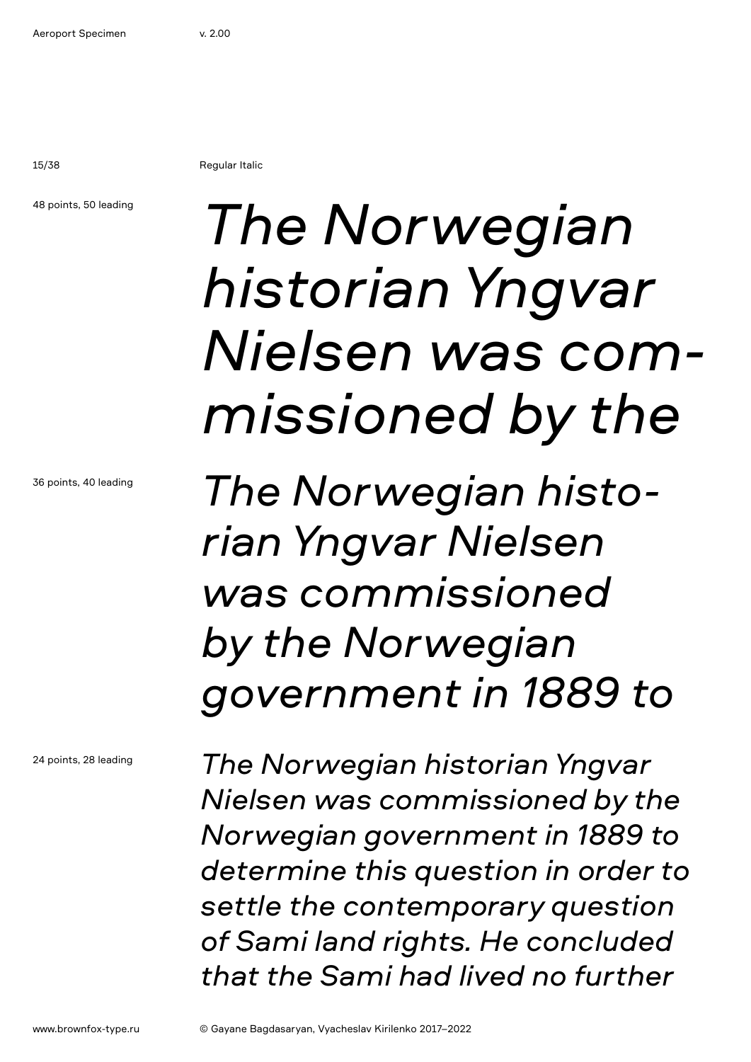15/38 Regular Italic

48 points, 50 leading

## *The Norwegian historian Yngvar Nielsen was commissioned by the*

*The Norwegian historian Yngvar Nielsen was commissioned by the Norwegian government in 1889 to* 

*The Norwegian historian Yngvar Nielsen was commissioned by the Norwegian government in 1889 to determine this question in order to settle the contemporary question of Sami land rights. He concluded that the Sami had lived no further*

36 points, 40 leading

24 points, 28 leading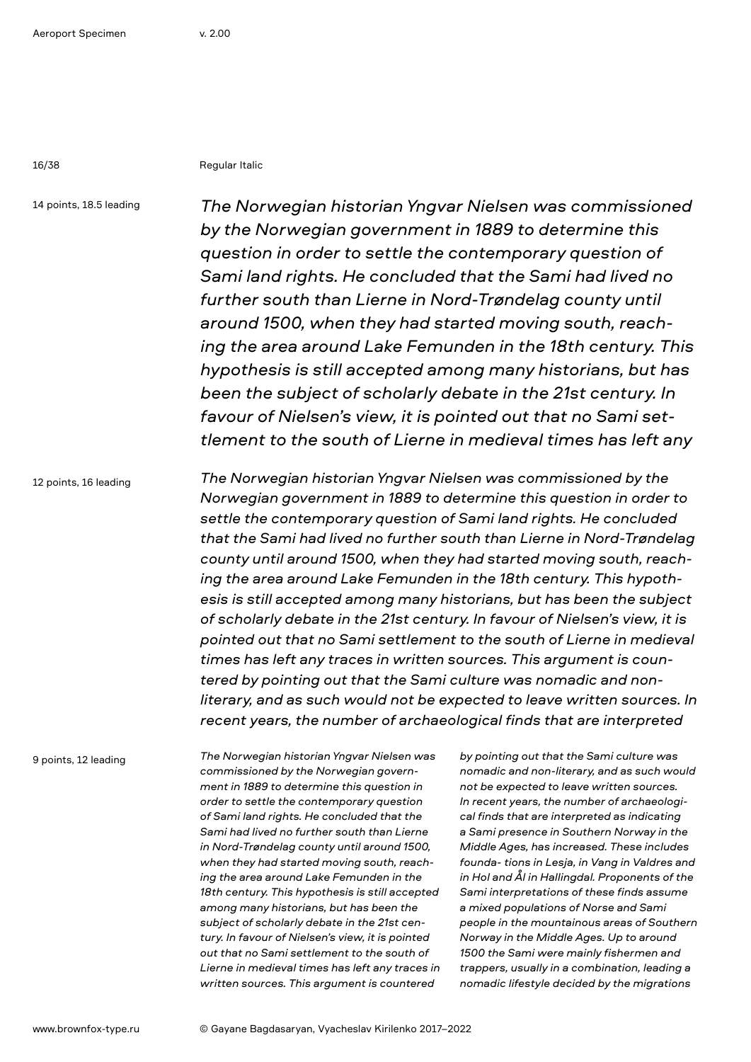16/38 Regular Italic

14 points, 18.5 leading

*The Norwegian historian Yngvar Nielsen was commissioned by the Norwegian government in 1889 to determine this question in order to settle the contemporary question of Sami land rights. He concluded that the Sami had lived no further south than Lierne in Nord-Trøndelag county until around 1500, when they had started moving south, reaching the area around Lake Femunden in the 18th century. This hypothesis is still accepted among many historians, but has been the subject of scholarly debate in the 21st century. In favour of Nielsen's view, it is pointed out that no Sami settlement to the south of Lierne in medieval times has left any* 

12 points, 16 leading

*The Norwegian historian Yngvar Nielsen was commissioned by the Norwegian government in 1889 to determine this question in order to settle the contemporary question of Sami land rights. He concluded that the Sami had lived no further south than Lierne in Nord-Trøndelag county until around 1500, when they had started moving south, reaching the area around Lake Femunden in the 18th century. This hypothesis is still accepted among many historians, but has been the subject of scholarly debate in the 21st century. In favour of Nielsen's view, it is pointed out that no Sami settlement to the south of Lierne in medieval times has left any traces in written sources. This argument is countered by pointing out that the Sami culture was nomadic and nonliterary, and as such would not be expected to leave written sources. In recent years, the number of archaeological finds that are interpreted* 

9 points, 12 leading

*The Norwegian historian Yngvar Nielsen was commissioned by the Norwegian government in 1889 to determine this question in order to settle the contemporary question of Sami land rights. He concluded that the Sami had lived no further south than Lierne in Nord-Trøndelag county until around 1500, when they had started moving south, reaching the area around Lake Femunden in the 18th century. This hypothesis is still accepted among many historians, but has been the subject of scholarly debate in the 21st century. In favour of Nielsen's view, it is pointed out that no Sami settlement to the south of Lierne in medieval times has left any traces in written sources. This argument is countered* 

*by pointing out that the Sami culture was nomadic and non-literary, and as such would not be expected to leave written sources. In recent years, the number of archaeological finds that are interpreted as indicating a Sami presence in Southern Norway in the Middle Ages, has increased. These includes founda- tions in Lesja, in Vang in Valdres and in Hol and Ål in Hallingdal. Proponents of the Sami interpretations of these finds assume a mixed populations of Norse and Sami people in the mountainous areas of Southern Norway in the Middle Ages. Up to around 1500 the Sami were mainly fishermen and trappers, usually in a combination, leading a nomadic lifestyle decided by the migrations*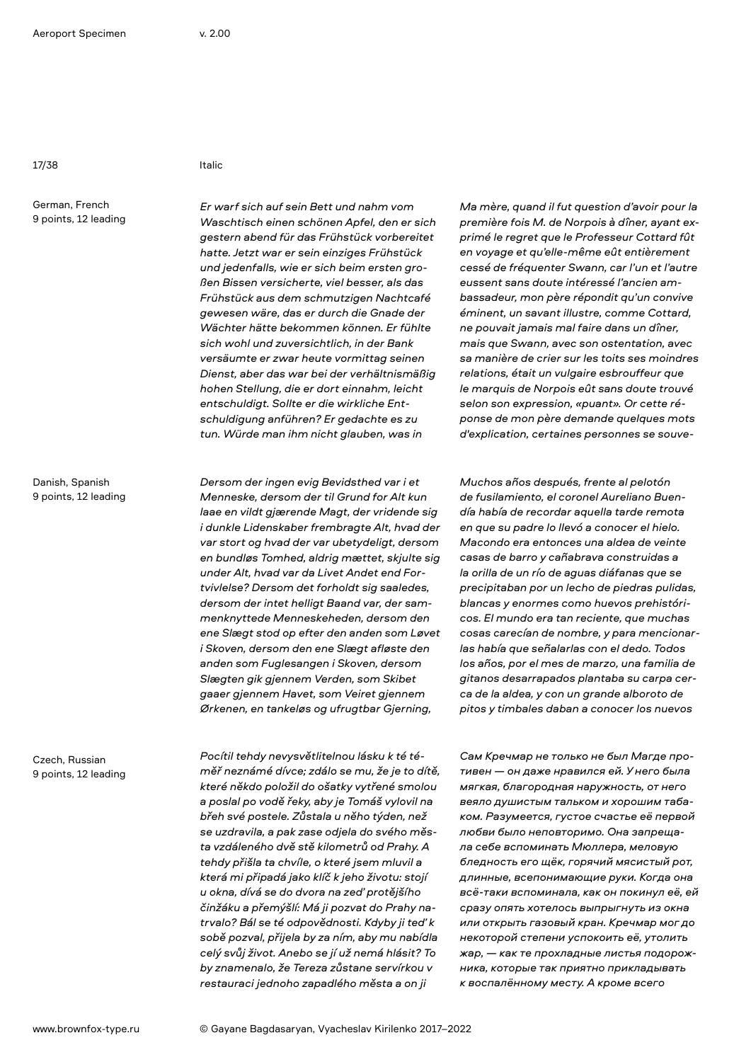17/38 Italic

German, French 9 points, 12 leading

Danish, Spanish 9 points, 12 leading

Czech, Russian 9 points, 12 leading *Er warf sich auf sein Bett und nahm vom Waschtisch einen schönen Apfel, den er sich gestern abend für das Frühstück vorbereitet hatte. Jetzt war er sein einziges Frühstück und jedenfalls, wie er sich beim ersten großen Bissen versicherte, viel besser, als das Frühstück aus dem schmutzigen Nachtcafé gewesen wäre, das er durch die Gnade der Wächter hätte bekommen können. Er fühlte sich wohl und zuversichtlich, in der Bank versäumte er zwar heute vormittag seinen Dienst, aber das war bei der verhältnismäßig hohen Stellung, die er dort einnahm, leicht entschuldigt. Sollte er die wirkliche Entschuldigung anführen? Er gedachte es zu tun. Würde man ihm nicht glauben, was in* 

*Dersom der ingen evig Bevidsthed var i et Menneske, dersom der til Grund for Alt kun laae en vildt gjærende Magt, der vridende sig i dunkle Lidenskaber frembragte Alt, hvad der var stort og hvad der var ubetydeligt, dersom en bundløs Tomhed, aldrig mættet, skjulte sig under Alt, hvad var da Livet Andet end Fortvivlelse? Dersom det forholdt sig saaledes, dersom der intet helligt Baand var, der sammenknyttede Menneskeheden, dersom den ene Slægt stod op efter den anden som Løvet i Skoven, dersom den ene Slægt afløste den anden som Fuglesangen i Skoven, dersom Slægten gik gjennem Verden, som Skibet gaaer gjennem Havet, som Veiret gjennem Ørkenen, en tankeløs og ufrugtbar Gjerning,* 

*Pocítil tehdy nevysvětlitelnou lásku k té téměř neznámé dívce; zdálo se mu, že je to dítě, které někdo položil do ošatky vytřené smolou a poslal po vodě řeky, aby je Tomáš vylovil na břeh své postele. Zůstala u něho týden, než se uzdravila, a pak zase odjela do svého města vzdáleného dvě stě kilometrů od Prahy. A tehdy přišla ta chvíle, o které jsem mluvil a která mi připadá jako klíč k jeho životu: stojí u okna, dívá se do dvora na zeď protějšího činžáku a přemýšlí: Má ji pozvat do Prahy natrvalo? Bál se té odpovědnosti. Kdyby ji teď k sobě pozval, přijela by za ním, aby mu nabídla celý svůj život. Anebo se jí už nemá hlásit? To by znamenalo, že Tereza zůstane servírkou v restauraci jednoho zapadlého města a on ji* 

*Ma mère, quand il fut question d'avoir pour la première fois M. de Norpois à dîner, ayant exprimé le regret que le Professeur Cottard fût en voyage et qu'elle-même eût entièrement cessé de fréquenter Swann, car l'un et l'autre eussent sans doute intéressé l'ancien ambassadeur, mon père répondit qu'un convive éminent, un savant illustre, comme Cottard, ne pouvait jamais mal faire dans un dîner, mais que Swann, avec son ostentation, avec sa manière de crier sur les toits ses moindres relations, était un vulgaire esbrouffeur que le marquis de Norpois eût sans doute trouvé selon son expression, «puant». Or cette réponse de mon père demande quelques mots d'explication, certaines personnes se souve-*

*Muchos años después, frente al pelotón de fusilamiento, el coronel Aureliano Buendía había de recordar aquella tarde remota en que su padre lo llevó a conocer el hielo. Macondo era entonces una aldea de veinte casas de barro y cañabrava construidas a la orilla de un río de aguas diáfanas que se precipitaban por un lecho de piedras pulidas, blancas y enormes como huevos prehistóricos. El mundo era tan reciente, que muchas cosas carecían de nombre, y para mencionarlas había que señalarlas con el dedo. Todos los años, por el mes de marzo, una familia de gitanos desarrapados plantaba su carpa cerca de la aldea, y con un grande alboroto de pitos y timbales daban a conocer los nuevos* 

*Сам Кречмар не только не был Магде противен — он даже нравился ей. У него была мягкая, благородная наружность, от него веяло душистым тальком и хорошим табаком. Разумеется, густое счастье её первой любви было неповторимо. Она запрещала себе вспоминать Мюллера, меловую бледность его щёк, горячий мясистый рот, длинные, всепонимающие руки. Когда она всё-таки вспоминала, как он покинул её, ей сразу опять хотелось выпрыгнуть из окна или открыть газовый кран. Кречмар мог до некоторой степени успокоить её, утолить жар, — как те прохладные листья подорожника, которые так приятно прикладывать к воспалённому месту. А кроме всего*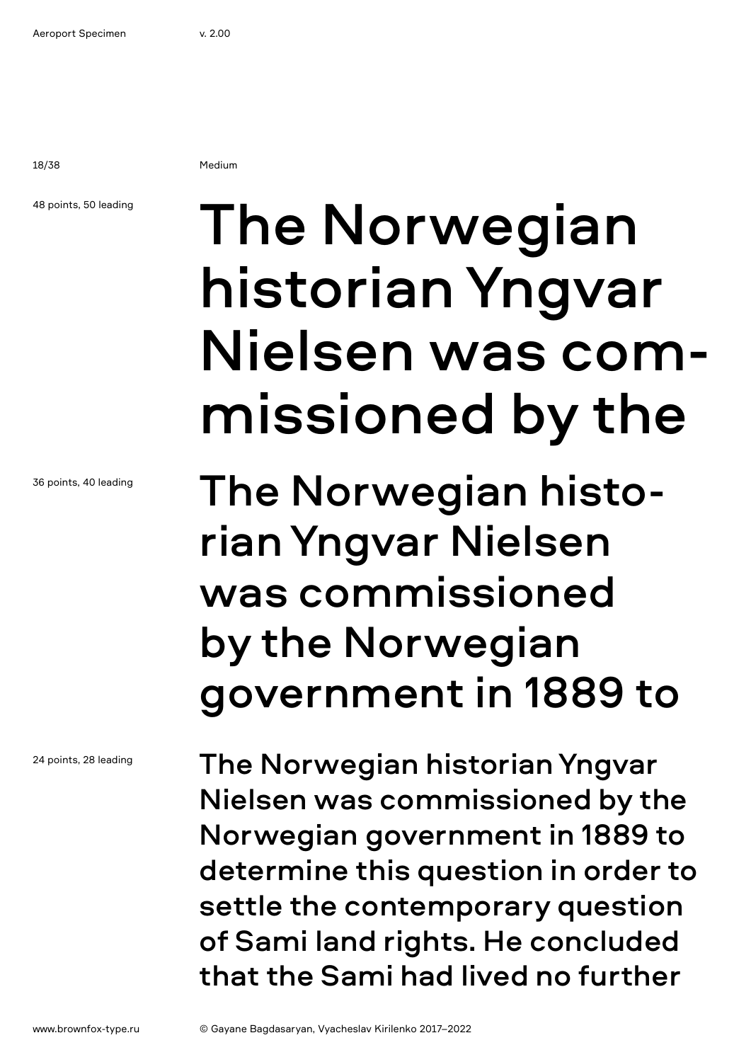18/38 Medium

### 48 points, 50 leading

36 points, 40 leading

24 points, 28 leading

# The Norwegian historian Yngvar Nielsen was commissioned by the

The Norwegian historian Yngvar Nielsen was commissioned by the Norwegian government in 1889 to

The Norwegian historian Yngvar Nielsen was commissioned by the Norwegian government in 1889 to determine this question in order to settle the contemporary question of Sami land rights. He concluded that the Sami had lived no further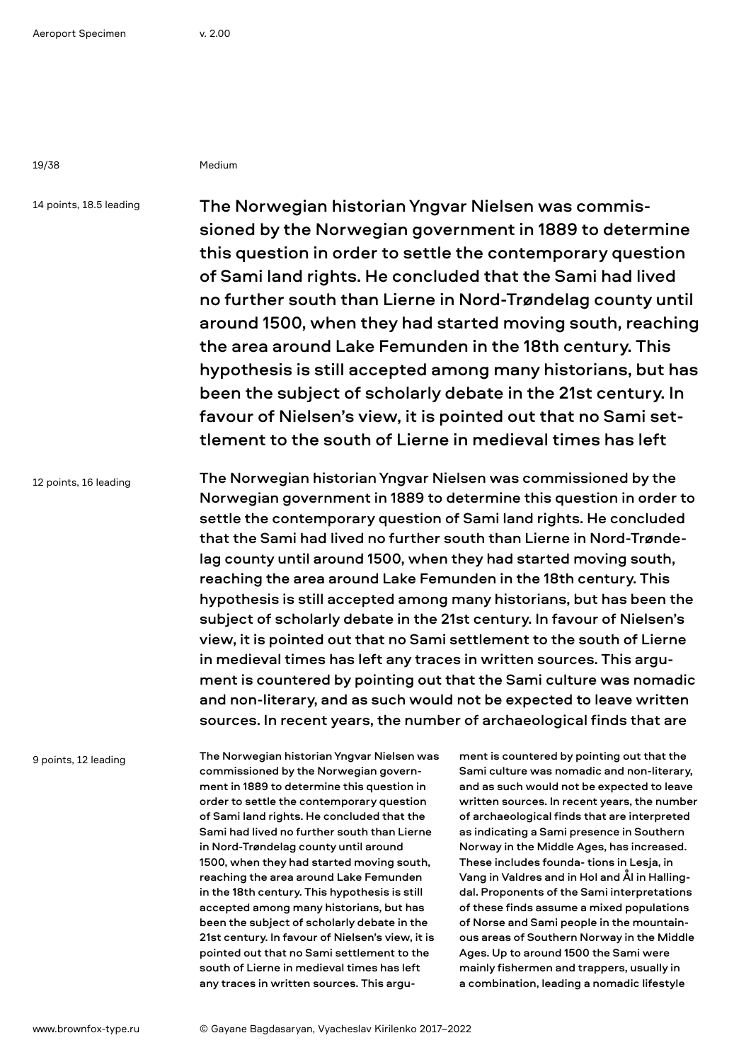19/38 Medium

14 points, 18.5 leading

The Norwegian historian Yngvar Nielsen was commissioned by the Norwegian government in 1889 to determine this question in order to settle the contemporary question of Sami land rights. He concluded that the Sami had lived no further south than Lierne in Nord-Trøndelag county until around 1500, when they had started moving south, reaching the area around Lake Femunden in the 18th century. This hypothesis is still accepted among many historians, but has been the subject of scholarly debate in the 21st century. In favour of Nielsen's view, it is pointed out that no Sami settlement to the south of Lierne in medieval times has left

12 points, 16 leading

The Norwegian historian Yngvar Nielsen was commissioned by the Norwegian government in 1889 to determine this question in order to settle the contemporary question of Sami land rights. He concluded that the Sami had lived no further south than Lierne in Nord-Trøndelag county until around 1500, when they had started moving south, reaching the area around Lake Femunden in the 18th century. This hypothesis is still accepted among many historians, but has been the subject of scholarly debate in the 21st century. In favour of Nielsen's view, it is pointed out that no Sami settlement to the south of Lierne in medieval times has left any traces in written sources. This argument is countered by pointing out that the Sami culture was nomadic and non-literary, and as such would not be expected to leave written sources. In recent years, the number of archaeological finds that are

9 points, 12 leading

The Norwegian historian Yngvar Nielsen was commissioned by the Norwegian government in 1889 to determine this question in order to settle the contemporary question of Sami land rights. He concluded that the Sami had lived no further south than Lierne in Nord-Trøndelag county until around 1500, when they had started moving south, reaching the area around Lake Femunden in the 18th century. This hypothesis is still accepted among many historians, but has been the subject of scholarly debate in the 21st century. In favour of Nielsen's view, it is pointed out that no Sami settlement to the south of Lierne in medieval times has left any traces in written sources. This argument is countered by pointing out that the Sami culture was nomadic and non-literary, and as such would not be expected to leave written sources. In recent years, the number of archaeological finds that are interpreted as indicating a Sami presence in Southern Norway in the Middle Ages, has increased. These includes founda- tions in Lesja, in Vang in Valdres and in Hol and Ål in Hallingdal. Proponents of the Sami interpretations of these finds assume a mixed populations of Norse and Sami people in the mountainous areas of Southern Norway in the Middle Ages. Up to around 1500 the Sami were mainly fishermen and trappers, usually in a combination, leading a nomadic lifestyle

www.brownfox-type.ru © Gayane Bagdasaryan, Vyacheslav Kirilenko 2017–2022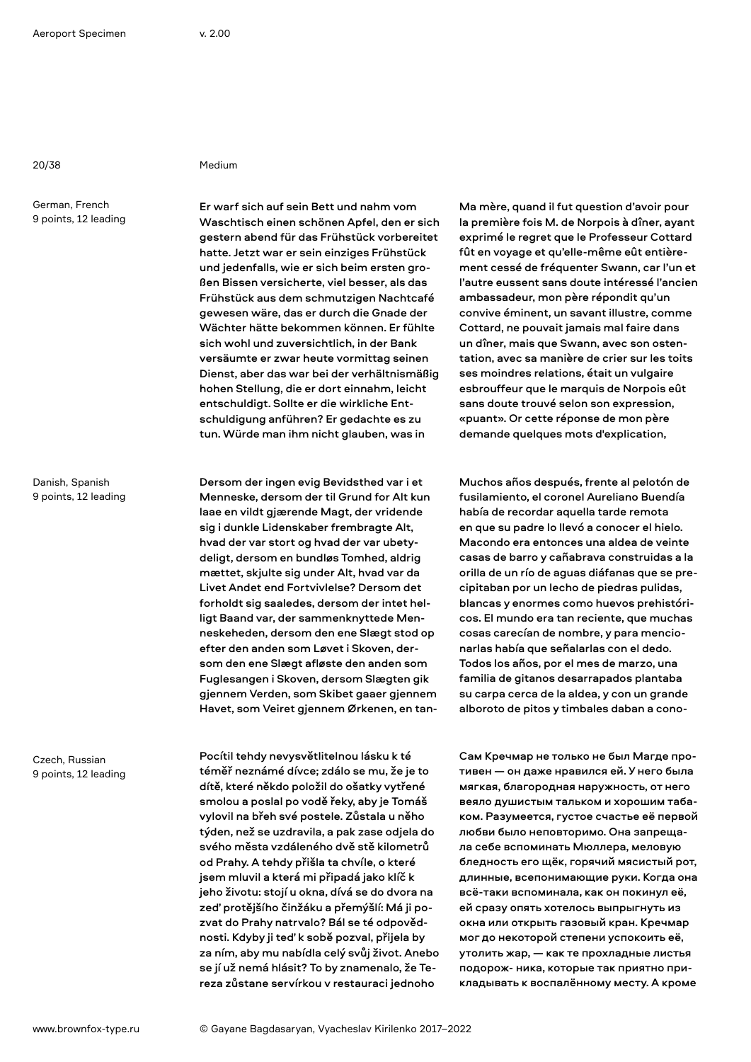20/38 Medium

German, French 9 points, 12 leading

Danish, Spanish 9 points, 12 leading

Czech, Russian 9 points, 12 leading Er warf sich auf sein Bett und nahm vom Waschtisch einen schönen Apfel, den er sich gestern abend für das Frühstück vorbereitet hatte. Jetzt war er sein einziges Frühstück und jedenfalls, wie er sich beim ersten großen Bissen versicherte, viel besser, als das Frühstück aus dem schmutzigen Nachtcafé gewesen wäre, das er durch die Gnade der Wächter hätte bekommen können. Er fühlte sich wohl und zuversichtlich, in der Bank versäumte er zwar heute vormittag seinen Dienst, aber das war bei der verhältnismäßig hohen Stellung, die er dort einnahm, leicht entschuldigt. Sollte er die wirkliche Entschuldigung anführen? Er gedachte es zu tun. Würde man ihm nicht glauben, was in

Dersom der ingen evig Bevidsthed var i et Menneske, dersom der til Grund for Alt kun laae en vildt gjærende Magt, der vridende sig i dunkle Lidenskaber frembragte Alt, hvad der var stort og hvad der var ubetydeligt, dersom en bundløs Tomhed, aldrig mættet, skjulte sig under Alt, hvad var da Livet Andet end Fortvivlelse? Dersom det forholdt sig saaledes, dersom der intet helligt Baand var, der sammenknyttede Menneskeheden, dersom den ene Slægt stod op efter den anden som Løvet i Skoven, dersom den ene Slægt afløste den anden som Fuglesangen i Skoven, dersom Slægten gik gjennem Verden, som Skibet gaaer gjennem Havet, som Veiret gjennem Ørkenen, en tan-

Pocítil tehdy nevysvětlitelnou lásku k té téměř neznámé dívce; zdálo se mu, že je to dítě, které někdo položil do ošatky vytřené smolou a poslal po vodě řeky, aby je Tomáš vylovil na břeh své postele. Zůstala u něho týden, než se uzdravila, a pak zase odjela do svého města vzdáleného dvě stě kilometrů od Prahy. A tehdy přišla ta chvíle, o které jsem mluvil a která mi připadá jako klíč k jeho životu: stojí u okna, dívá se do dvora na zeď protějšího činžáku a přemýšlí: Má ji pozvat do Prahy natrvalo? Bál se té odpovědnosti. Kdyby ji teď k sobě pozval, přijela by za ním, aby mu nabídla celý svůj život. Anebo se jí už nemá hlásit? To by znamenalo, že Tereza zůstane servírkou v restauraci jednoho

Ma mère, quand il fut question d'avoir pour la première fois M. de Norpois à dîner, ayant exprimé le regret que le Professeur Cottard fût en voyage et qu'elle-même eût entièrement cessé de fréquenter Swann, car l'un et l'autre eussent sans doute intéressé l'ancien ambassadeur, mon père répondit qu'un convive éminent, un savant illustre, comme Cottard, ne pouvait jamais mal faire dans un dîner, mais que Swann, avec son ostentation, avec sa manière de crier sur les toits ses moindres relations, était un vulgaire esbrouffeur que le marquis de Norpois eût sans doute trouvé selon son expression, «puant». Or cette réponse de mon père demande quelques mots d'explication,

Muchos años después, frente al pelotón de fusilamiento, el coronel Aureliano Buendía había de recordar aquella tarde remota en que su padre lo llevó a conocer el hielo. Macondo era entonces una aldea de veinte casas de barro y cañabrava construidas a la orilla de un río de aguas diáfanas que se precipitaban por un lecho de piedras pulidas, blancas y enormes como huevos prehistóricos. El mundo era tan reciente, que muchas cosas carecían de nombre, y para mencionarlas había que señalarlas con el dedo. Todos los años, por el mes de marzo, una familia de gitanos desarrapados plantaba su carpa cerca de la aldea, y con un grande alboroto de pitos y timbales daban a cono-

Сам Кречмар не только не был Магде противен — он даже нравился ей. У него была мягкая, благородная наружность, от него веяло душистым тальком и хорошим табаком. Разумеется, густое счастье её первой любви было неповторимо. Она запрещала себе вспоминать Мюллера, меловую бледность его щёк, горячий мясистый рот, длинные, всепонимающие руки. Когда она всё-таки вспоминала, как он покинул её, ей сразу опять хотелось выпрыгнуть из окна или открыть газовый кран. Кречмар мог до некоторой степени успокоить её, утолить жар, — как те прохладные листья подорож- ника, которые так приятно прикладывать к воспалённому месту. А кроме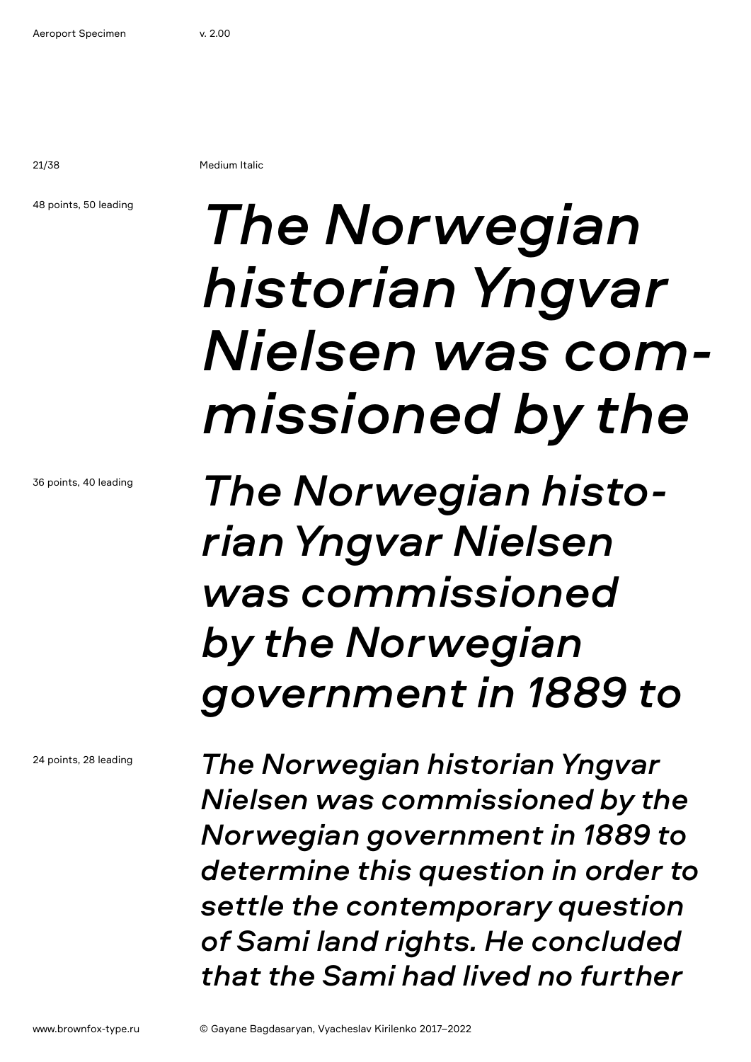21/38 Medium Italic

48 points, 50 leading

# *The Norwegian historian Yngvar Nielsen was commissioned by the*

*The Norwegian historian Yngvar Nielsen was commissioned by the Norwegian government in 1889 to* 

*The Norwegian historian Yngvar Nielsen was commissioned by the Norwegian government in 1889 to determine this question in order to settle the contemporary question of Sami land rights. He concluded that the Sami had lived no further*

36 points, 40 leading

24 points, 28 leading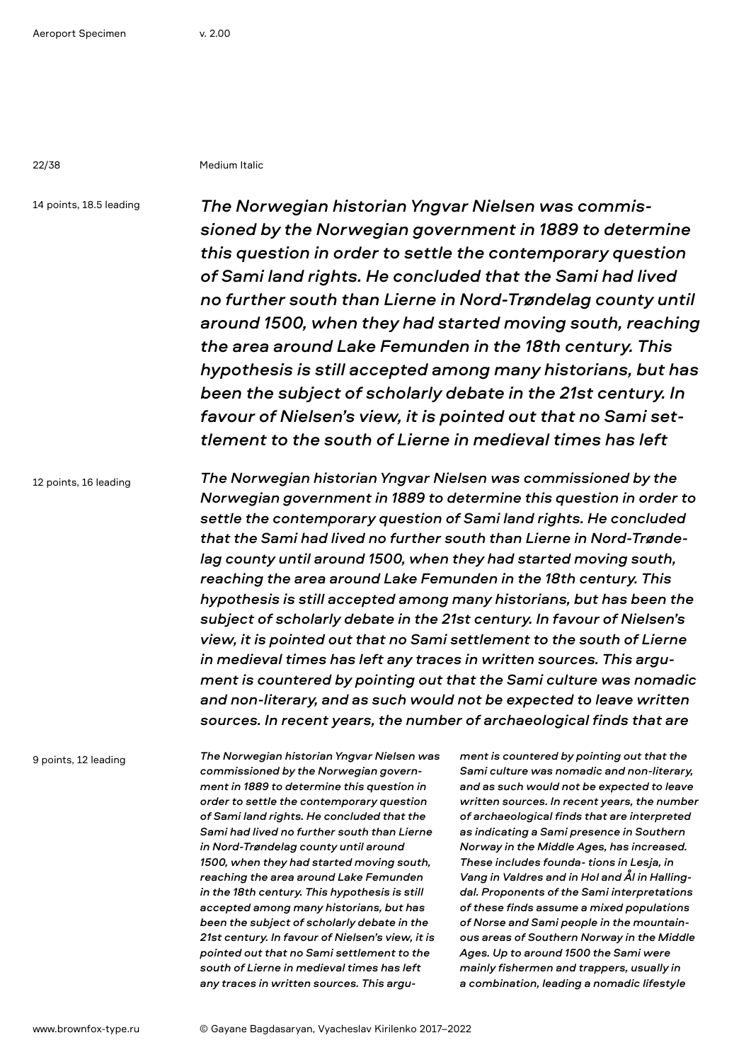22/38 Medium Italic

14 points, 18.5 leading

*The Norwegian historian Yngvar Nielsen was commissioned by the Norwegian government in 1889 to determine this question in order to settle the contemporary question of Sami land rights. He concluded that the Sami had lived no further south than Lierne in Nord-Trøndelag county until around 1500, when they had started moving south, reaching the area around Lake Femunden in the 18th century. This hypothesis is still accepted among many historians, but has been the subject of scholarly debate in the 21st century. In favour of Nielsen's view, it is pointed out that no Sami settlement to the south of Lierne in medieval times has left* 

12 points, 16 leading

*The Norwegian historian Yngvar Nielsen was commissioned by the Norwegian government in 1889 to determine this question in order to settle the contemporary question of Sami land rights. He concluded that the Sami had lived no further south than Lierne in Nord-Trøndelag county until around 1500, when they had started moving south, reaching the area around Lake Femunden in the 18th century. This hypothesis is still accepted among many historians, but has been the subject of scholarly debate in the 21st century. In favour of Nielsen's view, it is pointed out that no Sami settlement to the south of Lierne in medieval times has left any traces in written sources. This argument is countered by pointing out that the Sami culture was nomadic and non-literary, and as such would not be expected to leave written sources. In recent years, the number of archaeological finds that are* 

9 points, 12 leading

*The Norwegian historian Yngvar Nielsen was commissioned by the Norwegian government in 1889 to determine this question in order to settle the contemporary question of Sami land rights. He concluded that the Sami had lived no further south than Lierne in Nord-Trøndelag county until around 1500, when they had started moving south, reaching the area around Lake Femunden in the 18th century. This hypothesis is still accepted among many historians, but has been the subject of scholarly debate in the 21st century. In favour of Nielsen's view, it is pointed out that no Sami settlement to the south of Lierne in medieval times has left any traces in written sources. This argu-* *ment is countered by pointing out that the Sami culture was nomadic and non-literary, and as such would not be expected to leave written sources. In recent years, the number of archaeological finds that are interpreted as indicating a Sami presence in Southern Norway in the Middle Ages, has increased. These includes founda- tions in Lesja, in Vang in Valdres and in Hol and Ål in Hallingdal. Proponents of the Sami interpretations of these finds assume a mixed populations of Norse and Sami people in the mountainous areas of Southern Norway in the Middle Ages. Up to around 1500 the Sami were mainly fishermen and trappers, usually in a combination, leading a nomadic lifestyle*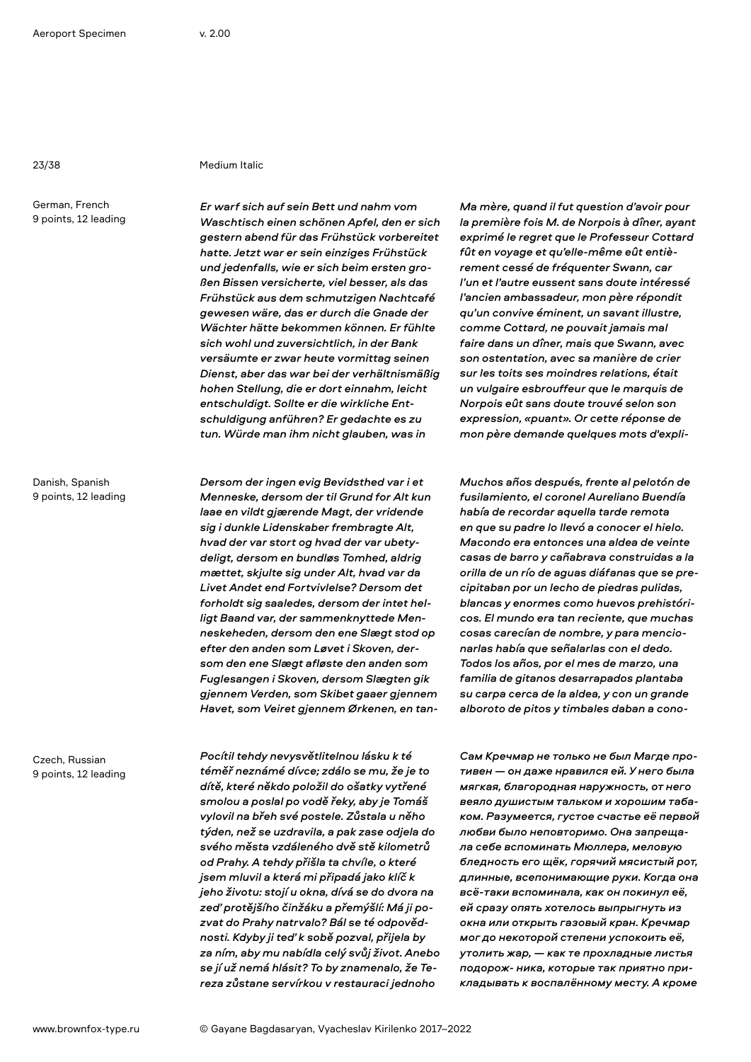### 23/38 Medium Italic

German, French 9 points, 12 leading

Danish, Spanish 9 points, 12 leading

Czech, Russian 9 points, 12 leading *Er warf sich auf sein Bett und nahm vom Waschtisch einen schönen Apfel, den er sich gestern abend für das Frühstück vorbereitet hatte. Jetzt war er sein einziges Frühstück und jedenfalls, wie er sich beim ersten großen Bissen versicherte, viel besser, als das Frühstück aus dem schmutzigen Nachtcafé gewesen wäre, das er durch die Gnade der Wächter hätte bekommen können. Er fühlte sich wohl und zuversichtlich, in der Bank versäumte er zwar heute vormittag seinen Dienst, aber das war bei der verhältnismäßig hohen Stellung, die er dort einnahm, leicht entschuldigt. Sollte er die wirkliche Entschuldigung anführen? Er gedachte es zu tun. Würde man ihm nicht glauben, was in* 

*Dersom der ingen evig Bevidsthed var i et Menneske, dersom der til Grund for Alt kun laae en vildt gjærende Magt, der vridende sig i dunkle Lidenskaber frembragte Alt, hvad der var stort og hvad der var ubetydeligt, dersom en bundløs Tomhed, aldrig mættet, skjulte sig under Alt, hvad var da Livet Andet end Fortvivlelse? Dersom det forholdt sig saaledes, dersom der intet helligt Baand var, der sammenknyttede Menneskeheden, dersom den ene Slægt stod op efter den anden som Løvet i Skoven, dersom den ene Slægt afløste den anden som Fuglesangen i Skoven, dersom Slægten gik gjennem Verden, som Skibet gaaer gjennem Havet, som Veiret gjennem Ørkenen, en tan-*

*Pocítil tehdy nevysvětlitelnou lásku k té téměř neznámé dívce; zdálo se mu, že je to dítě, které někdo položil do ošatky vytřené smolou a poslal po vodě řeky, aby je Tomáš vylovil na břeh své postele. Zůstala u něho týden, než se uzdravila, a pak zase odjela do svého města vzdáleného dvě stě kilometrů od Prahy. A tehdy přišla ta chvíle, o které jsem mluvil a která mi připadá jako klíč k jeho životu: stojí u okna, dívá se do dvora na zeď protějšího činžáku a přemýšlí: Má ji pozvat do Prahy natrvalo? Bál se té odpovědnosti. Kdyby ji teď k sobě pozval, přijela by za ním, aby mu nabídla celý svůj život. Anebo se jí už nemá hlásit? To by znamenalo, že Tereza zůstane servírkou v restauraci jednoho* 

*Ma mère, quand il fut question d'avoir pour la première fois M. de Norpois à dîner, ayant exprimé le regret que le Professeur Cottard fût en voyage et qu'elle-même eût entièrement cessé de fréquenter Swann, car l'un et l'autre eussent sans doute intéressé l'ancien ambassadeur, mon père répondit qu'un convive éminent, un savant illustre, comme Cottard, ne pouvait jamais mal faire dans un dîner, mais que Swann, avec son ostentation, avec sa manière de crier sur les toits ses moindres relations, était un vulgaire esbrouffeur que le marquis de Norpois eût sans doute trouvé selon son expression, «puant». Or cette réponse de mon père demande quelques mots d'expli-*

*Muchos años después, frente al pelotón de fusilamiento, el coronel Aureliano Buendía había de recordar aquella tarde remota en que su padre lo llevó a conocer el hielo. Macondo era entonces una aldea de veinte casas de barro y cañabrava construidas a la orilla de un río de aguas diáfanas que se precipitaban por un lecho de piedras pulidas, blancas y enormes como huevos prehistóricos. El mundo era tan reciente, que muchas cosas carecían de nombre, y para mencionarlas había que señalarlas con el dedo. Todos los años, por el mes de marzo, una familia de gitanos desarrapados plantaba su carpa cerca de la aldea, y con un grande alboroto de pitos y timbales daban a cono-*

*Сам Кречмар не только не был Магде противен — он даже нравился ей. У него была мягкая, благородная наружность, от него веяло душистым тальком и хорошим табаком. Разумеется, густое счастье её первой любви было неповторимо. Она запрещала себе вспоминать Мюллера, меловую бледность его щёк, горячий мясистый рот, длинные, всепонимающие руки. Когда она всё-таки вспоминала, как он покинул её, ей сразу опять хотелось выпрыгнуть из окна или открыть газовый кран. Кречмар мог до некоторой степени успокоить её, утолить жар, — как те прохладные листья подорож- ника, которые так приятно прикладывать к воспалённому месту. А кроме*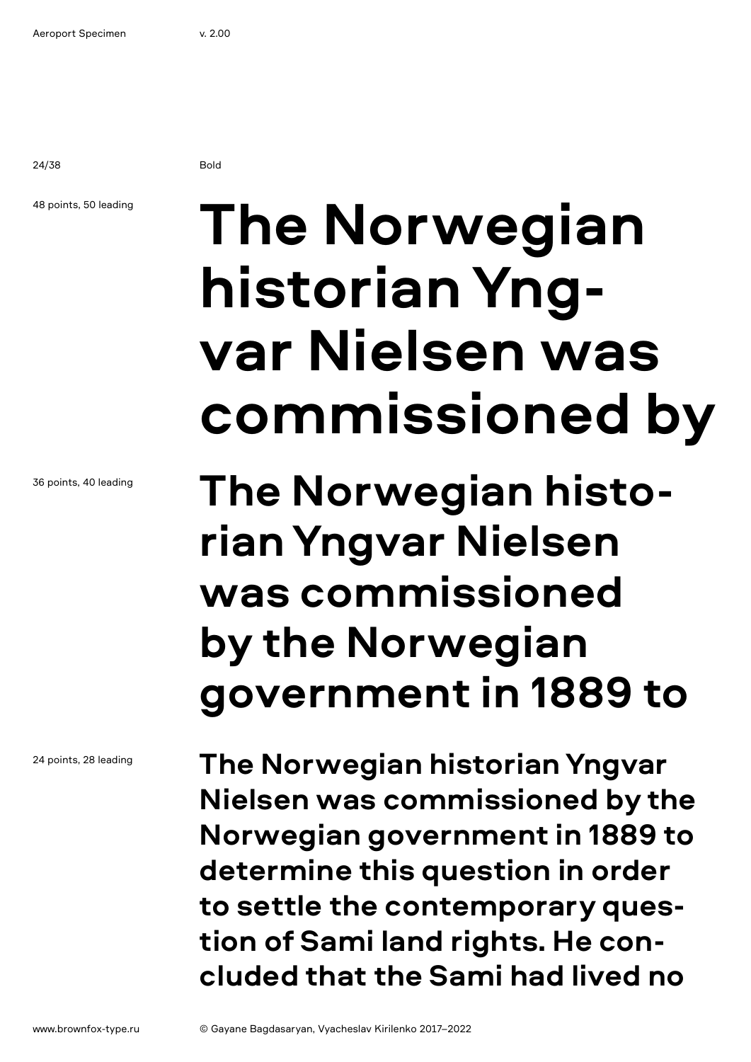24/38 Bold

### 48 points, 50 leading

36 points, 40 leading

24 points, 28 leading

# **The Norwegian historian Yngvar Nielsen was commissioned by**

## **The Norwegian historian Yngvar Nielsen was commissioned by the Norwegian government in 1889 to**

**The Norwegian historian Yngvar Nielsen was commissioned by the Norwegian government in 1889 to determine this question in order to settle the contemporary question of Sami land rights. He concluded that the Sami had lived no**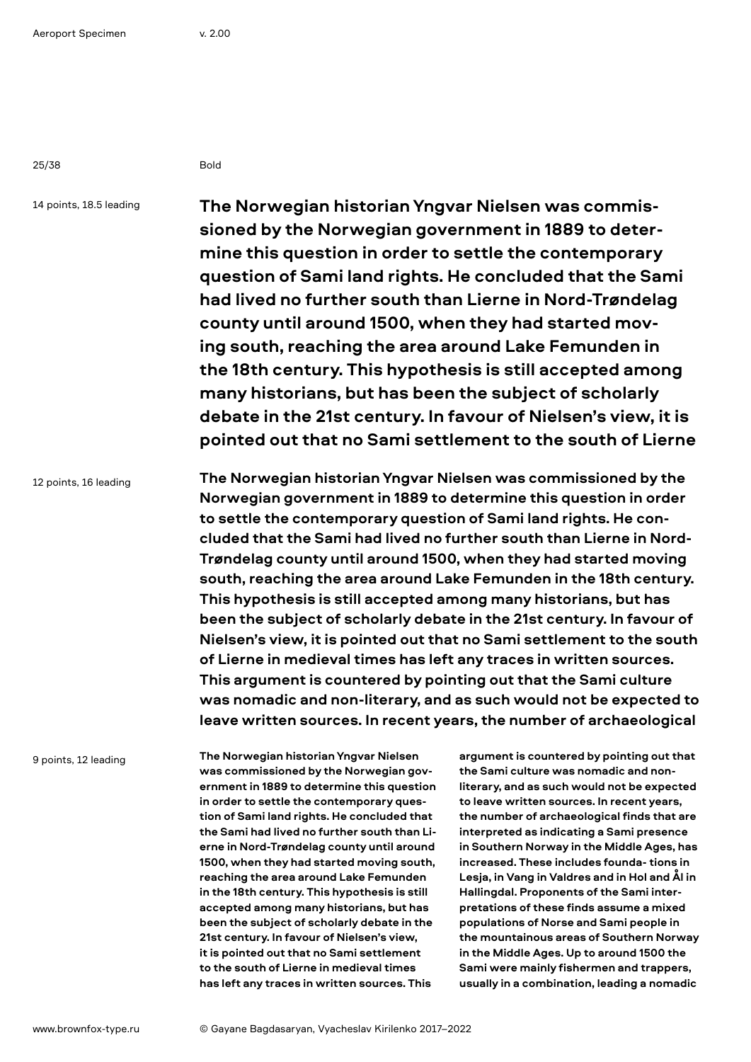25/38 Bold

14 points, 18.5 leading

**The Norwegian historian Yngvar Nielsen was commissioned by the Norwegian government in 1889 to determine this question in order to settle the contemporary question of Sami land rights. He concluded that the Sami had lived no further south than Lierne in Nord-Trøndelag county until around 1500, when they had started moving south, reaching the area around Lake Femunden in the 18th century. This hypothesis is still accepted among many historians, but has been the subject of scholarly debate in the 21st century. In favour of Nielsen's view, it is pointed out that no Sami settlement to the south of Lierne** 

12 points, 16 leading

**The Norwegian historian Yngvar Nielsen was commissioned by the Norwegian government in 1889 to determine this question in order to settle the contemporary question of Sami land rights. He concluded that the Sami had lived no further south than Lierne in Nord-Trøndelag county until around 1500, when they had started moving south, reaching the area around Lake Femunden in the 18th century. This hypothesis is still accepted among many historians, but has been the subject of scholarly debate in the 21st century. In favour of Nielsen's view, it is pointed out that no Sami settlement to the south of Lierne in medieval times has left any traces in written sources. This argument is countered by pointing out that the Sami culture was nomadic and non-literary, and as such would not be expected to leave written sources. In recent years, the number of archaeological** 

9 points, 12 leading

**The Norwegian historian Yngvar Nielsen was commissioned by the Norwegian government in 1889 to determine this question in order to settle the contemporary question of Sami land rights. He concluded that the Sami had lived no further south than Lierne in Nord-Trøndelag county until around 1500, when they had started moving south, reaching the area around Lake Femunden in the 18th century. This hypothesis is still accepted among many historians, but has been the subject of scholarly debate in the 21st century. In favour of Nielsen's view, it is pointed out that no Sami settlement to the south of Lierne in medieval times has left any traces in written sources. This** 

**argument is countered by pointing out that the Sami culture was nomadic and nonliterary, and as such would not be expected to leave written sources. In recent years, the number of archaeological finds that are interpreted as indicating a Sami presence in Southern Norway in the Middle Ages, has increased. These includes founda- tions in Lesja, in Vang in Valdres and in Hol and Ål in Hallingdal. Proponents of the Sami interpretations of these finds assume a mixed populations of Norse and Sami people in the mountainous areas of Southern Norway in the Middle Ages. Up to around 1500 the Sami were mainly fishermen and trappers, usually in a combination, leading a nomadic**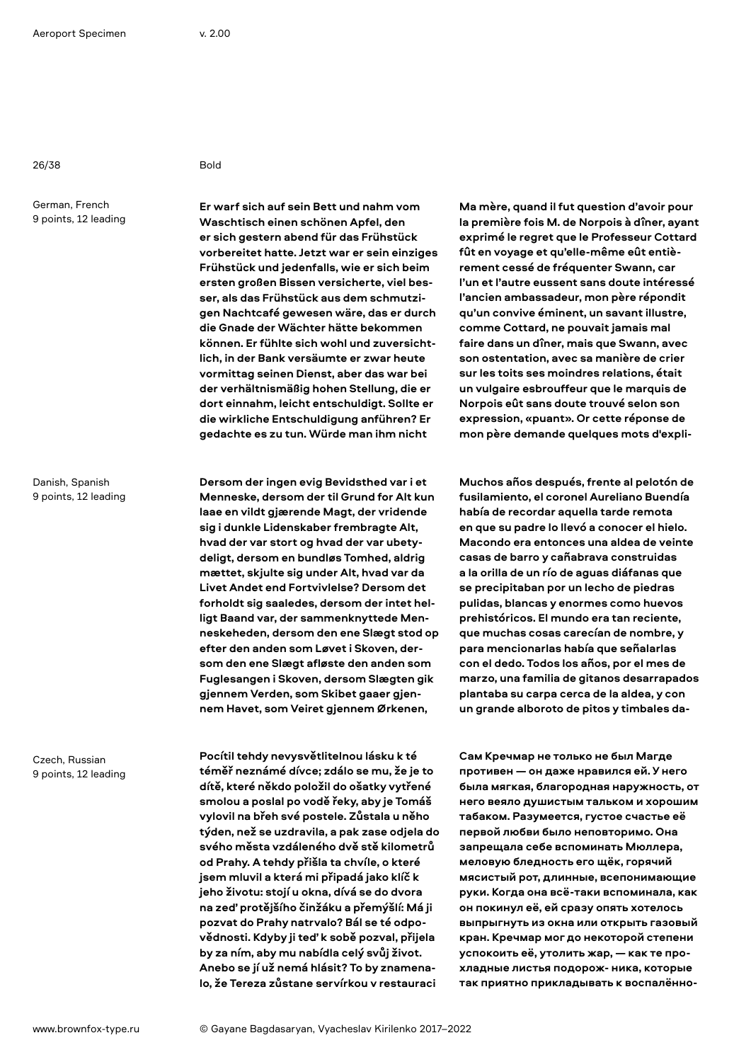26/38 Bold

German, French 9 points, 12 leading

Danish, Spanish 9 points, 12 leading

Czech, Russian 9 points, 12 leading

**Er warf sich auf sein Bett und nahm vom Waschtisch einen schönen Apfel, den er sich gestern abend für das Frühstück vorbereitet hatte. Jetzt war er sein einziges Frühstück und jedenfalls, wie er sich beim ersten großen Bissen versicherte, viel besser, als das Frühstück aus dem schmutzigen Nachtcafé gewesen wäre, das er durch die Gnade der Wächter hätte bekommen können. Er fühlte sich wohl und zuversichtlich, in der Bank versäumte er zwar heute vormittag seinen Dienst, aber das war bei der verhältnismäßig hohen Stellung, die er dort einnahm, leicht entschuldigt. Sollte er die wirkliche Entschuldigung anführen? Er gedachte es zu tun. Würde man ihm nicht** 

**Dersom der ingen evig Bevidsthed var i et Menneske, dersom der til Grund for Alt kun laae en vildt gjærende Magt, der vridende sig i dunkle Lidenskaber frembragte Alt, hvad der var stort og hvad der var ubetydeligt, dersom en bundløs Tomhed, aldrig mættet, skjulte sig under Alt, hvad var da Livet Andet end Fortvivlelse? Dersom det forholdt sig saaledes, dersom der intet helligt Baand var, der sammenknyttede Menneskeheden, dersom den ene Slægt stod op efter den anden som Løvet i Skoven, dersom den ene Slægt afløste den anden som Fuglesangen i Skoven, dersom Slægten gik gjennem Verden, som Skibet gaaer gjennem Havet, som Veiret gjennem Ørkenen,** 

**Pocítil tehdy nevysvětlitelnou lásku k té téměř neznámé dívce; zdálo se mu, že je to dítě, které někdo položil do ošatky vytřené smolou a poslal po vodě řeky, aby je Tomáš vylovil na břeh své postele. Zůstala u něho týden, než se uzdravila, a pak zase odjela do svého města vzdáleného dvě stě kilometrů od Prahy. A tehdy přišla ta chvíle, o které jsem mluvil a která mi připadá jako klíč k jeho životu: stojí u okna, dívá se do dvora na zeď protějšího činžáku a přemýšlí: Má ji pozvat do Prahy natrvalo? Bál se té odpovědnosti. Kdyby ji teď k sobě pozval, přijela by za ním, aby mu nabídla celý svůj život. Anebo se jí už nemá hlásit? To by znamenalo, že Tereza zůstane servírkou v restauraci** 

**Ma mère, quand il fut question d'avoir pour la première fois M. de Norpois à dîner, ayant exprimé le regret que le Professeur Cottard fût en voyage et qu'elle-même eût entièrement cessé de fréquenter Swann, car l'un et l'autre eussent sans doute intéressé l'ancien ambassadeur, mon père répondit qu'un convive éminent, un savant illustre, comme Cottard, ne pouvait jamais mal faire dans un dîner, mais que Swann, avec son ostentation, avec sa manière de crier sur les toits ses moindres relations, était un vulgaire esbrouffeur que le marquis de Norpois eût sans doute trouvé selon son expression, «puant». Or cette réponse de mon père demande quelques mots d'expli-**

**Muchos años después, frente al pelotón de fusilamiento, el coronel Aureliano Buendía había de recordar aquella tarde remota en que su padre lo llevó a conocer el hielo. Macondo era entonces una aldea de veinte casas de barro y cañabrava construidas a la orilla de un río de aguas diáfanas que se precipitaban por un lecho de piedras pulidas, blancas y enormes como huevos prehistóricos. El mundo era tan reciente, que muchas cosas carecían de nombre, y para mencionarlas había que señalarlas con el dedo. Todos los años, por el mes de marzo, una familia de gitanos desarrapados plantaba su carpa cerca de la aldea, y con un grande alboroto de pitos y timbales da-**

**Сам Кречмар не только не был Магде противен — он даже нравился ей. У него была мягкая, благородная наружность, от него веяло душистым тальком и хорошим табаком. Разумеется, густое счастье её первой любви было неповторимо. Она запрещала себе вспоминать Мюллера, меловую бледность его щёк, горячий мясистый рот, длинные, всепонимающие руки. Когда она всё-таки вспоминала, как он покинул её, ей сразу опять хотелось выпрыгнуть из окна или открыть газовый кран. Кречмар мог до некоторой степени успокоить её, утолить жар, — как те прохладные листья подорож- ника, которые так приятно прикладывать к воспалённо-**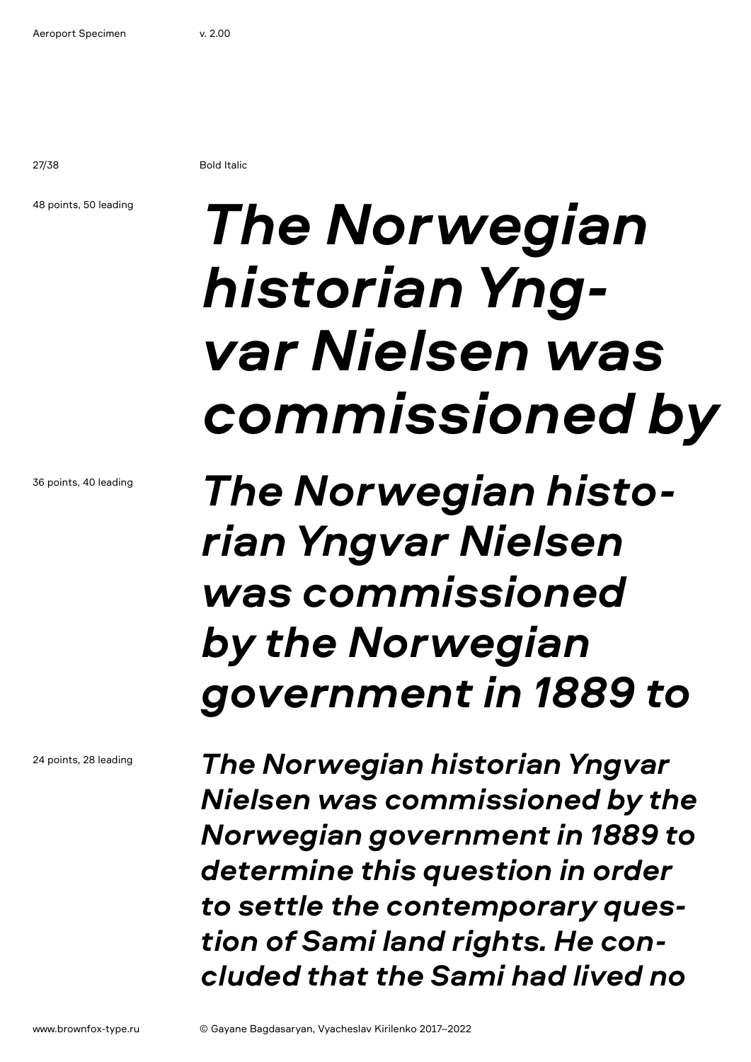27/38 Bold Italic

### 48 points, 50 leading

# *The Norwegian historian Yngvar Nielsen was commissioned by*

*The Norwegian historian Yngvar Nielsen was commissioned by the Norwegian government in 1889 to* 

*The Norwegian historian Yngvar Nielsen was commissioned by the Norwegian government in 1889 to determine this question in order to settle the contemporary question of Sami land rights. He concluded that the Sami had lived no* 

24 points, 28 leading

36 points, 40 leading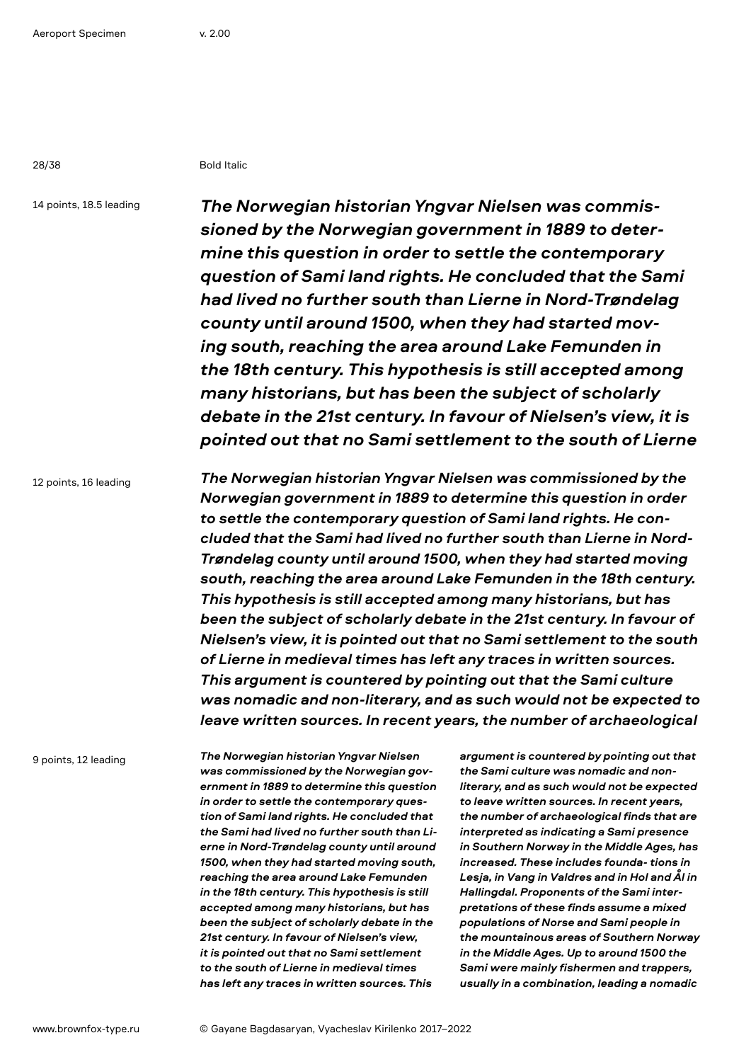28/38 Bold Italic

14 points, 18.5 leading

*The Norwegian historian Yngvar Nielsen was commissioned by the Norwegian government in 1889 to determine this question in order to settle the contemporary question of Sami land rights. He concluded that the Sami had lived no further south than Lierne in Nord-Trøndelag county until around 1500, when they had started moving south, reaching the area around Lake Femunden in the 18th century. This hypothesis is still accepted among many historians, but has been the subject of scholarly debate in the 21st century. In favour of Nielsen's view, it is pointed out that no Sami settlement to the south of Lierne* 

12 points, 16 leading

*The Norwegian historian Yngvar Nielsen was commissioned by the Norwegian government in 1889 to determine this question in order to settle the contemporary question of Sami land rights. He concluded that the Sami had lived no further south than Lierne in Nord-Trøndelag county until around 1500, when they had started moving south, reaching the area around Lake Femunden in the 18th century. This hypothesis is still accepted among many historians, but has been the subject of scholarly debate in the 21st century. In favour of Nielsen's view, it is pointed out that no Sami settlement to the south of Lierne in medieval times has left any traces in written sources. This argument is countered by pointing out that the Sami culture was nomadic and non-literary, and as such would not be expected to leave written sources. In recent years, the number of archaeological* 

9 points, 12 leading

*The Norwegian historian Yngvar Nielsen was commissioned by the Norwegian government in 1889 to determine this question in order to settle the contemporary question of Sami land rights. He concluded that the Sami had lived no further south than Lierne in Nord-Trøndelag county until around 1500, when they had started moving south, reaching the area around Lake Femunden in the 18th century. This hypothesis is still accepted among many historians, but has been the subject of scholarly debate in the 21st century. In favour of Nielsen's view, it is pointed out that no Sami settlement to the south of Lierne in medieval times has left any traces in written sources. This* 

*argument is countered by pointing out that the Sami culture was nomadic and nonliterary, and as such would not be expected to leave written sources. In recent years, the number of archaeological finds that are interpreted as indicating a Sami presence in Southern Norway in the Middle Ages, has increased. These includes founda- tions in Lesja, in Vang in Valdres and in Hol and Ål in Hallingdal. Proponents of the Sami interpretations of these finds assume a mixed populations of Norse and Sami people in the mountainous areas of Southern Norway in the Middle Ages. Up to around 1500 the Sami were mainly fishermen and trappers, usually in a combination, leading a nomadic*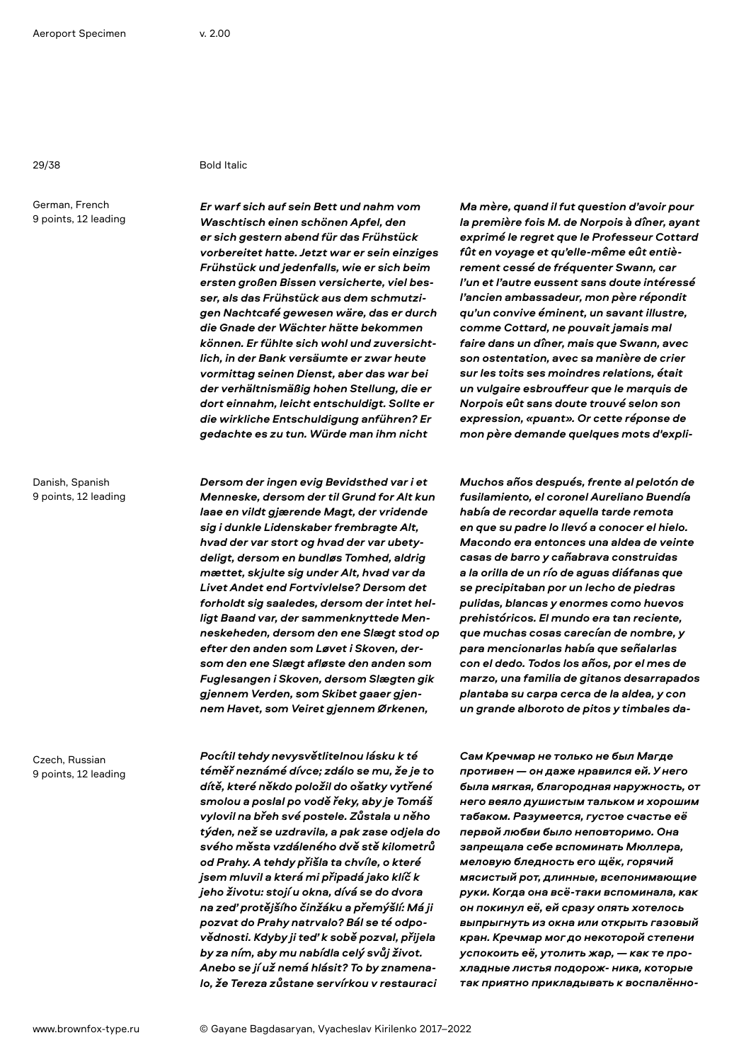29/38 Bold Italic

German, French 9 points, 12 leading

Danish, Spanish 9 points, 12 leading

Czech, Russian 9 points, 12 leading *Er warf sich auf sein Bett und nahm vom Waschtisch einen schönen Apfel, den er sich gestern abend für das Frühstück vorbereitet hatte. Jetzt war er sein einziges Frühstück und jedenfalls, wie er sich beim ersten großen Bissen versicherte, viel besser, als das Frühstück aus dem schmutzigen Nachtcafé gewesen wäre, das er durch die Gnade der Wächter hätte bekommen können. Er fühlte sich wohl und zuversichtlich, in der Bank versäumte er zwar heute vormittag seinen Dienst, aber das war bei der verhältnismäßig hohen Stellung, die er dort einnahm, leicht entschuldigt. Sollte er die wirkliche Entschuldigung anführen? Er gedachte es zu tun. Würde man ihm nicht* 

*Dersom der ingen evig Bevidsthed var i et Menneske, dersom der til Grund for Alt kun laae en vildt gjærende Magt, der vridende sig i dunkle Lidenskaber frembragte Alt, hvad der var stort og hvad der var ubetydeligt, dersom en bundløs Tomhed, aldrig mættet, skjulte sig under Alt, hvad var da Livet Andet end Fortvivlelse? Dersom det forholdt sig saaledes, dersom der intet helligt Baand var, der sammenknyttede Menneskeheden, dersom den ene Slægt stod op efter den anden som Løvet i Skoven, dersom den ene Slægt afløste den anden som Fuglesangen i Skoven, dersom Slægten gik gjennem Verden, som Skibet gaaer gjennem Havet, som Veiret gjennem Ørkenen,* 

*Pocítil tehdy nevysvětlitelnou lásku k té téměř neznámé dívce; zdálo se mu, že je to dítě, které někdo položil do ošatky vytřené smolou a poslal po vodě řeky, aby je Tomáš vylovil na břeh své postele. Zůstala u něho týden, než se uzdravila, a pak zase odjela do svého města vzdáleného dvě stě kilometrů od Prahy. A tehdy přišla ta chvíle, o které jsem mluvil a která mi připadá jako klíč k jeho životu: stojí u okna, dívá se do dvora na zeď protějšího činžáku a přemýšlí: Má ji pozvat do Prahy natrvalo? Bál se té odpovědnosti. Kdyby ji teď k sobě pozval, přijela by za ním, aby mu nabídla celý svůj život. Anebo se jí už nemá hlásit? To by znamenalo, že Tereza zůstane servírkou v restauraci* 

*Ma mère, quand il fut question d'avoir pour la première fois M. de Norpois à dîner, ayant exprimé le regret que le Professeur Cottard fût en voyage et qu'elle-même eût entièrement cessé de fréquenter Swann, car l'un et l'autre eussent sans doute intéressé l'ancien ambassadeur, mon père répondit qu'un convive éminent, un savant illustre, comme Cottard, ne pouvait jamais mal faire dans un dîner, mais que Swann, avec son ostentation, avec sa manière de crier sur les toits ses moindres relations, était un vulgaire esbrouffeur que le marquis de Norpois eût sans doute trouvé selon son expression, «puant». Or cette réponse de mon père demande quelques mots d'expli-*

*Muchos años después, frente al pelotón de fusilamiento, el coronel Aureliano Buendía había de recordar aquella tarde remota en que su padre lo llevó a conocer el hielo. Macondo era entonces una aldea de veinte casas de barro y cañabrava construidas a la orilla de un río de aguas diáfanas que se precipitaban por un lecho de piedras pulidas, blancas y enormes como huevos prehistóricos. El mundo era tan reciente, que muchas cosas carecían de nombre, y para mencionarlas había que señalarlas con el dedo. Todos los años, por el mes de marzo, una familia de gitanos desarrapados plantaba su carpa cerca de la aldea, y con un grande alboroto de pitos y timbales da-*

*Сам Кречмар не только не был Магде противен — он даже нравился ей. У него была мягкая, благородная наружность, от него веяло душистым тальком и хорошим табаком. Разумеется, густое счастье её первой любви было неповторимо. Она запрещала себе вспоминать Мюллера, меловую бледность его щёк, горячий мясистый рот, длинные, всепонимающие руки. Когда она всё-таки вспоминала, как он покинул её, ей сразу опять хотелось выпрыгнуть из окна или открыть газовый кран. Кречмар мог до некоторой степени успокоить её, утолить жар, — как те прохладные листья подорож- ника, которые так приятно прикладывать к воспалённо-*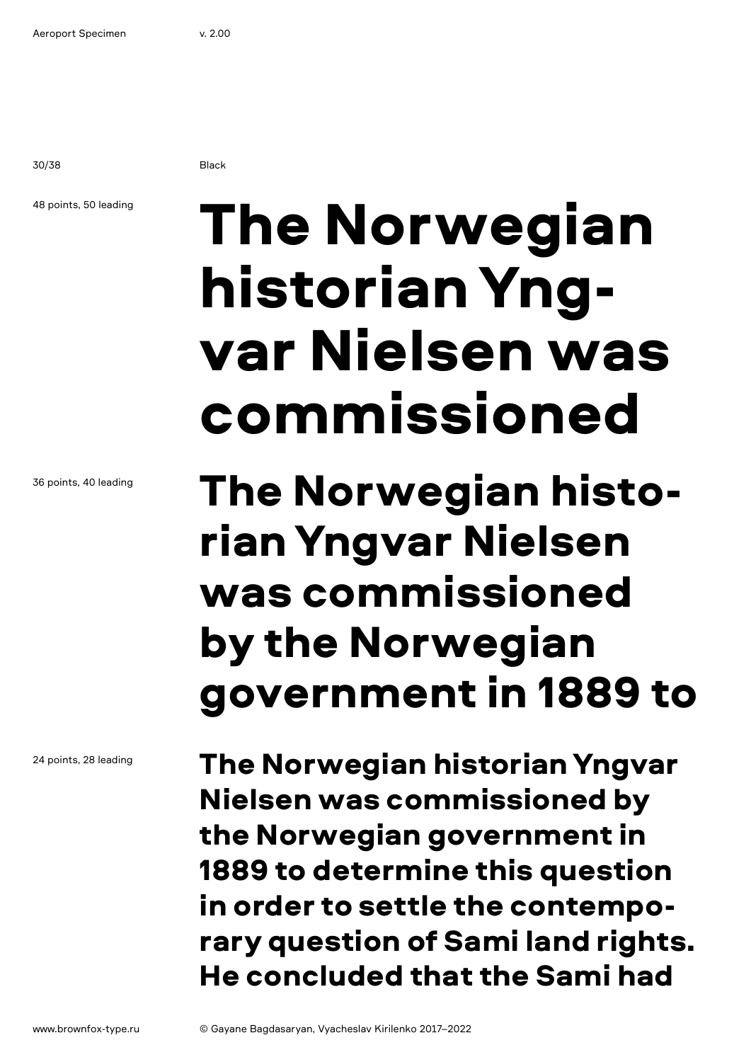30/38 Black

### 48 points, 50 leading

# The Norwegian historian Yngvar Nielsen was commissioned

## The Norwegian historian Yngvar Nielsen was commissioned by the Norwegian government in 1889 to

The Norwegian historian Yngvar Nielsen was commissioned by the Norwegian government in 1889 to determine this question in order to settle the contemporary question of Sami land rights. He concluded that the Sami had

36 points, 40 leading

24 points, 28 leading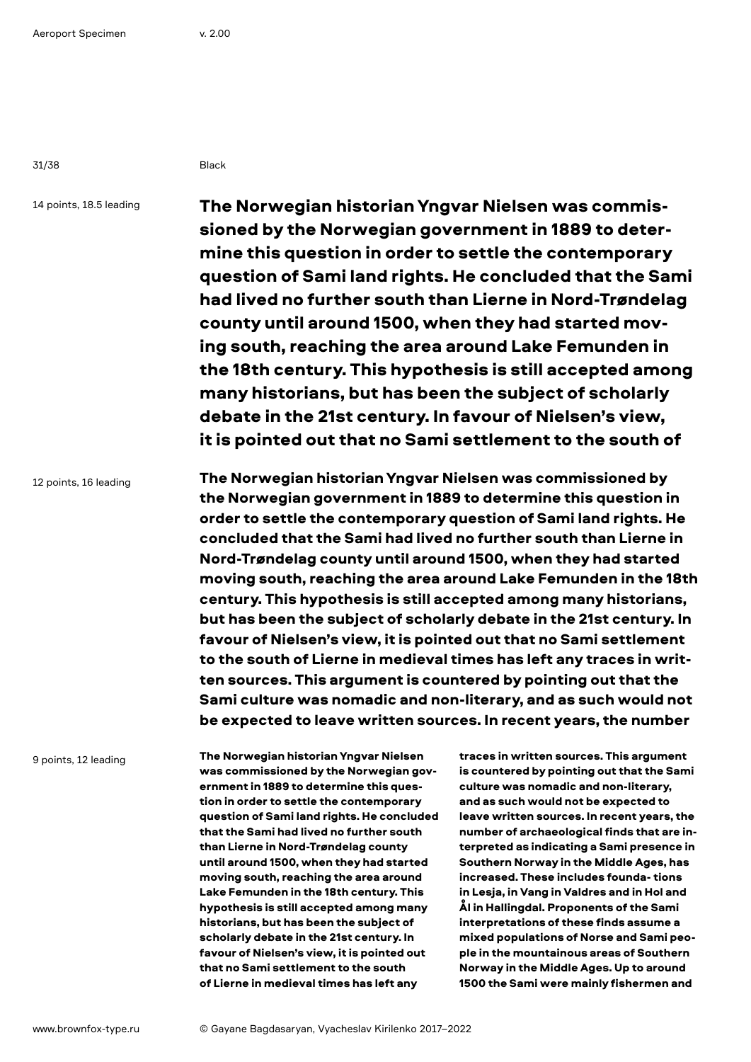31/38 Black

14 points, 18.5 leading

The Norwegian historian Yngvar Nielsen was commissioned by the Norwegian government in 1889 to determine this question in order to settle the contemporary question of Sami land rights. He concluded that the Sami had lived no further south than Lierne in Nord-Trøndelag county until around 1500, when they had started moving south, reaching the area around Lake Femunden in the 18th century. This hypothesis is still accepted among many historians, but has been the subject of scholarly debate in the 21st century. In favour of Nielsen's view, it is pointed out that no Sami settlement to the south of

12 points, 16 leading

The Norwegian historian Yngvar Nielsen was commissioned by the Norwegian government in 1889 to determine this question in order to settle the contemporary question of Sami land rights. He concluded that the Sami had lived no further south than Lierne in Nord-Trøndelag county until around 1500, when they had started moving south, reaching the area around Lake Femunden in the 18th century. This hypothesis is still accepted among many historians, but has been the subject of scholarly debate in the 21st century. In favour of Nielsen's view, it is pointed out that no Sami settlement to the south of Lierne in medieval times has left any traces in written sources. This argument is countered by pointing out that the Sami culture was nomadic and non-literary, and as such would not be expected to leave written sources. In recent years, the number

9 points, 12 leading

The Norwegian historian Yngvar Nielsen was commissioned by the Norwegian government in 1889 to determine this question in order to settle the contemporary question of Sami land rights. He concluded that the Sami had lived no further south than Lierne in Nord-Trøndelag county until around 1500, when they had started moving south, reaching the area around Lake Femunden in the 18th century. This hypothesis is still accepted among many historians, but has been the subject of scholarly debate in the 21st century. In favour of Nielsen's view, it is pointed out that no Sami settlement to the south of Lierne in medieval times has left any

traces in written sources. This argument is countered by pointing out that the Sami culture was nomadic and non-literary, and as such would not be expected to leave written sources. In recent years, the number of archaeological finds that are interpreted as indicating a Sami presence in Southern Norway in the Middle Ages, has increased. These includes founda- tions in Lesja, in Vang in Valdres and in Hol and Ål in Hallingdal. Proponents of the Sami interpretations of these finds assume a mixed populations of Norse and Sami people in the mountainous areas of Southern Norway in the Middle Ages. Up to around 1500 the Sami were mainly fishermen and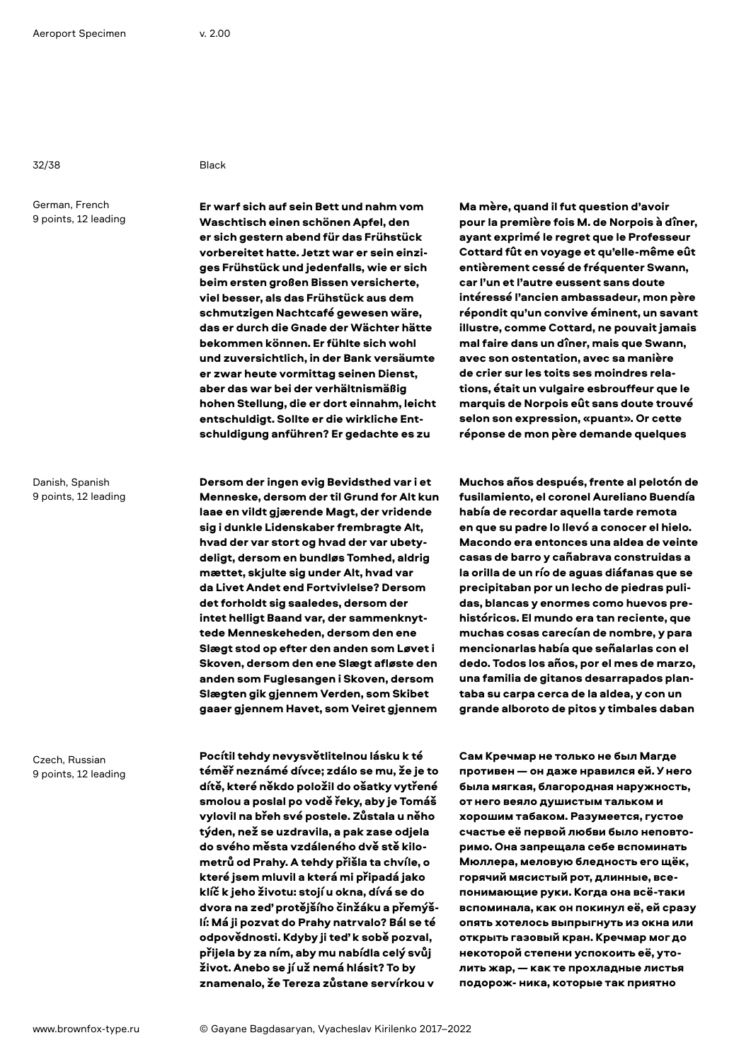32/38 Black

German, French 9 points, 12 leading

Danish, Spanish 9 points, 12 leading

Czech, Russian 9 points, 12 leading

Er warf sich auf sein Bett und nahm vom Waschtisch einen schönen Apfel, den er sich gestern abend für das Frühstück vorbereitet hatte. Jetzt war er sein einziges Frühstück und jedenfalls, wie er sich beim ersten großen Bissen versicherte, viel besser, als das Frühstück aus dem schmutzigen Nachtcafé gewesen wäre, das er durch die Gnade der Wächter hätte bekommen können. Er fühlte sich wohl und zuversichtlich, in der Bank versäumte er zwar heute vormittag seinen Dienst, aber das war bei der verhältnismäßig hohen Stellung, die er dort einnahm, leicht entschuldigt. Sollte er die wirkliche Entschuldigung anführen? Er gedachte es zu

Dersom der ingen evig Bevidsthed var i et Menneske, dersom der til Grund for Alt kun laae en vildt gjærende Magt, der vridende sig i dunkle Lidenskaber frembragte Alt, hvad der var stort og hvad der var ubetydeligt, dersom en bundløs Tomhed, aldrig mættet, skjulte sig under Alt, hvad var da Livet Andet end Fortvivlelse? Dersom det forholdt sig saaledes, dersom der intet helligt Baand var, der sammenknyttede Menneskeheden, dersom den ene Slægt stod op efter den anden som Løvet i Skoven, dersom den ene Slægt afløste den anden som Fuglesangen i Skoven, dersom Slægten gik gjennem Verden, som Skibet gaaer gjennem Havet, som Veiret gjennem

Pocítil tehdy nevysvětlitelnou lásku k té téměř neznámé dívce; zdálo se mu, že je to dítě, které někdo položil do ošatky vytřené smolou a poslal po vodě řeky, aby je Tomáš vylovil na břeh své postele. Zůstala u něho týden, než se uzdravila, a pak zase odjela do svého města vzdáleného dvě stě kilometrů od Prahy. A tehdy přišla ta chvíle, o které jsem mluvil a která mi připadá jako klíč k jeho životu: stojí u okna, dívá se do dvora na zeď protějšího činžáku a přemýšlí: Má ji pozvat do Prahy natrvalo? Bál se té odpovědnosti. Kdyby ji teď k sobě pozval, přijela by za ním, aby mu nabídla celý svůj život. Anebo se jí už nemá hlásit? To by znamenalo, že Tereza zůstane servírkou v

Ma mère, quand il fut question d'avoir pour la première fois M. de Norpois à dîner, ayant exprimé le regret que le Professeur Cottard fût en voyage et qu'elle-même eût entièrement cessé de fréquenter Swann, car l'un et l'autre eussent sans doute intéressé l'ancien ambassadeur, mon père répondit qu'un convive éminent, un savant illustre, comme Cottard, ne pouvait jamais mal faire dans un dîner, mais que Swann, avec son ostentation, avec sa manière de crier sur les toits ses moindres relations, était un vulgaire esbrouffeur que le marquis de Norpois eût sans doute trouvé selon son expression, «puant». Or cette réponse de mon père demande quelques

Muchos años después, frente al pelotón de fusilamiento, el coronel Aureliano Buendía había de recordar aquella tarde remota en que su padre lo llevó a conocer el hielo. Macondo era entonces una aldea de veinte casas de barro y cañabrava construidas a la orilla de un río de aguas diáfanas que se precipitaban por un lecho de piedras pulidas, blancas y enormes como huevos prehistóricos. El mundo era tan reciente, que muchas cosas carecían de nombre, y para mencionarlas había que señalarlas con el dedo. Todos los años, por el mes de marzo, una familia de gitanos desarrapados plantaba su carpa cerca de la aldea, y con un grande alboroto de pitos y timbales daban

Сам Кречмар не только не был Магде противен — он даже нравился ей. У него была мягкая, благородная наружность, от него веяло душистым тальком и хорошим табаком. Разумеется, густое счастье её первой любви было неповторимо. Она запрещала себе вспоминать Мюллера, меловую бледность его щёк, горячий мясистый рот, длинные, всепонимающие руки. Когда она всё-таки вспоминала, как он покинул её, ей сразу опять хотелось выпрыгнуть из окна или открыть газовый кран. Кречмар мог до некоторой степени успокоить её, утолить жар, — как те прохладные листья подорож- ника, которые так приятно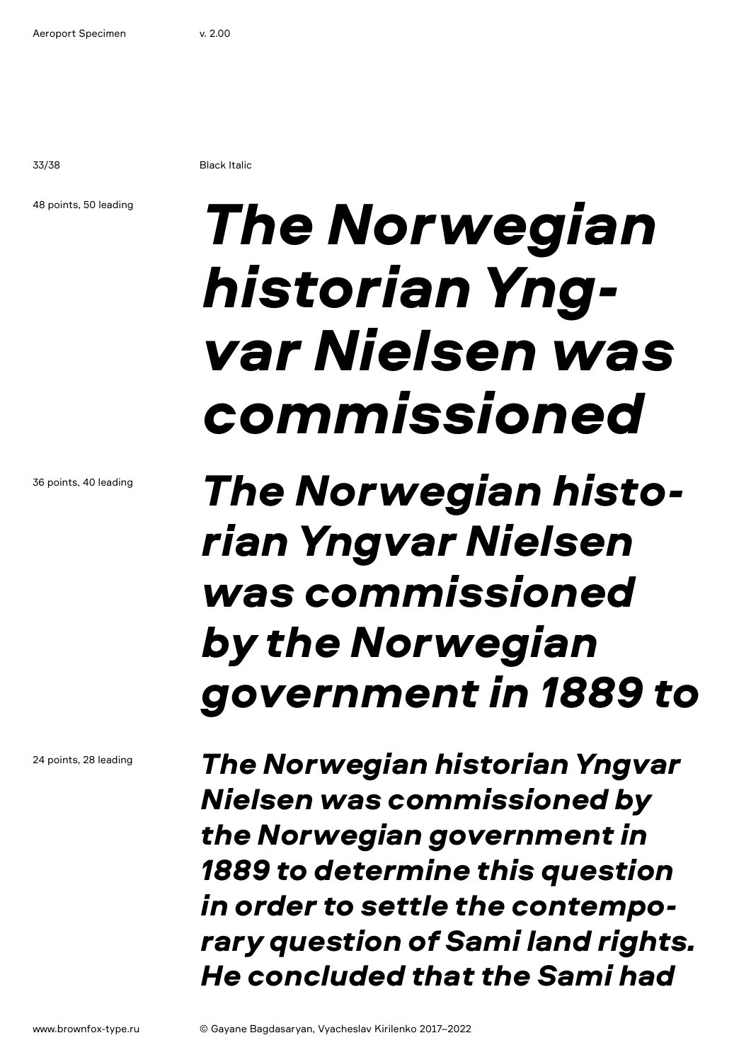33/38 Black Italic

### 48 points, 50 leading

36 points, 40 leading

# *The Norwegian historian Yngvar Nielsen was commissioned*

24 points, 28 leading

## *The Norwegian historian Yngvar Nielsen was commissioned by the Norwegian government in 1889 to*

*The Norwegian historian Yngvar Nielsen was commissioned by the Norwegian government in 1889 to determine this question in order to settle the contemporary question of Sami land rights. He concluded that the Sami had*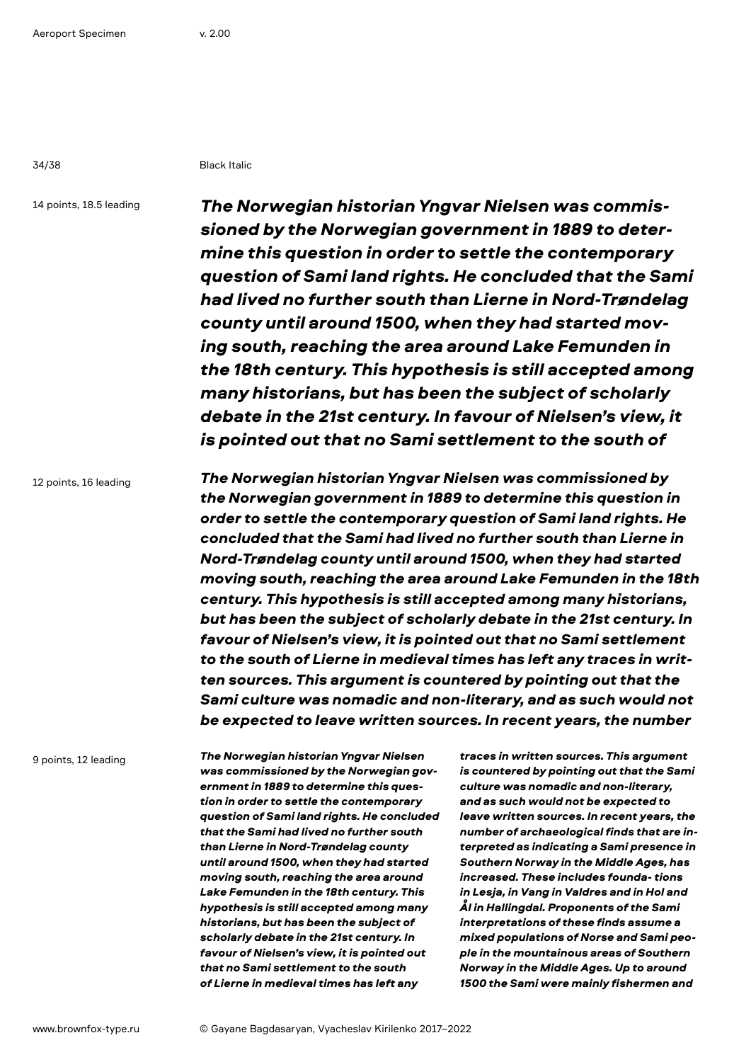34/38 Black Italic

14 points, 18.5 leading

*The Norwegian historian Yngvar Nielsen was commissioned by the Norwegian government in 1889 to determine this question in order to settle the contemporary question of Sami land rights. He concluded that the Sami had lived no further south than Lierne in Nord-Trøndelag county until around 1500, when they had started moving south, reaching the area around Lake Femunden in the 18th century. This hypothesis is still accepted among many historians, but has been the subject of scholarly debate in the 21st century. In favour of Nielsen's view, it is pointed out that no Sami settlement to the south of* 

12 points, 16 leading

*The Norwegian historian Yngvar Nielsen was commissioned by the Norwegian government in 1889 to determine this question in order to settle the contemporary question of Sami land rights. He concluded that the Sami had lived no further south than Lierne in Nord-Trøndelag county until around 1500, when they had started moving south, reaching the area around Lake Femunden in the 18th century. This hypothesis is still accepted among many historians, but has been the subject of scholarly debate in the 21st century. In favour of Nielsen's view, it is pointed out that no Sami settlement to the south of Lierne in medieval times has left any traces in written sources. This argument is countered by pointing out that the Sami culture was nomadic and non-literary, and as such would not be expected to leave written sources. In recent years, the number* 

9 points, 12 leading

*The Norwegian historian Yngvar Nielsen was commissioned by the Norwegian government in 1889 to determine this question in order to settle the contemporary question of Sami land rights. He concluded that the Sami had lived no further south than Lierne in Nord-Trøndelag county until around 1500, when they had started moving south, reaching the area around Lake Femunden in the 18th century. This hypothesis is still accepted among many historians, but has been the subject of scholarly debate in the 21st century. In favour of Nielsen's view, it is pointed out that no Sami settlement to the south of Lierne in medieval times has left any* 

*traces in written sources. This argument is countered by pointing out that the Sami culture was nomadic and non-literary, and as such would not be expected to leave written sources. In recent years, the number of archaeological finds that are interpreted as indicating a Sami presence in Southern Norway in the Middle Ages, has increased. These includes founda- tions in Lesja, in Vang in Valdres and in Hol and Ål in Hallingdal. Proponents of the Sami interpretations of these finds assume a mixed populations of Norse and Sami people in the mountainous areas of Southern Norway in the Middle Ages. Up to around 1500 the Sami were mainly fishermen and*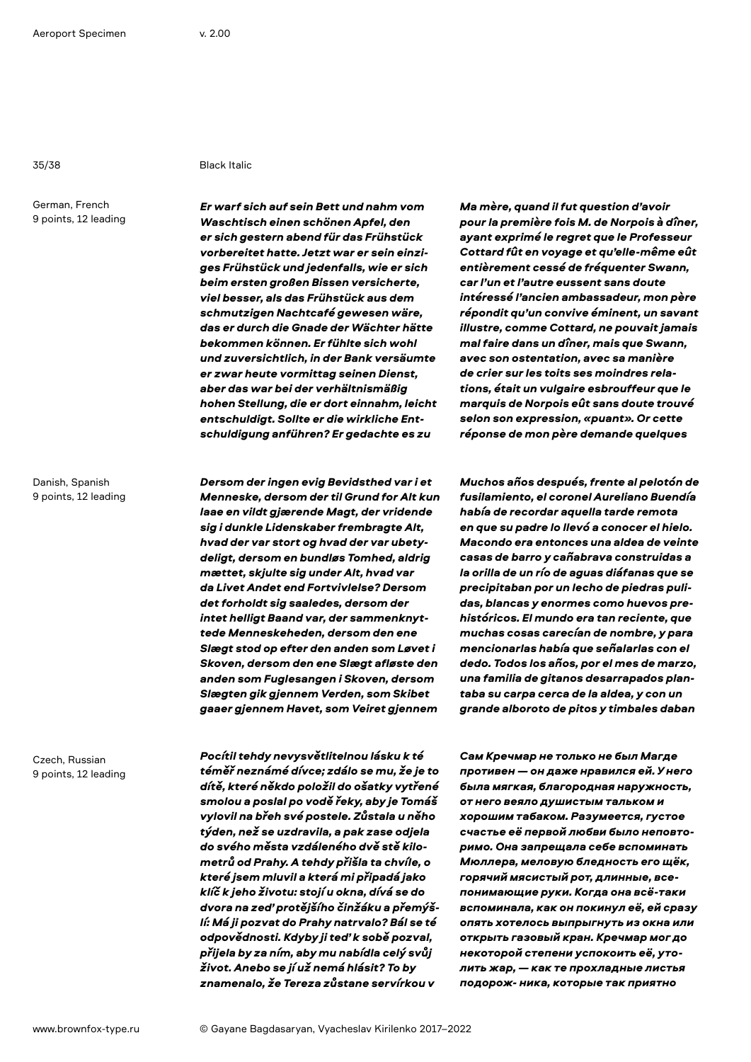### 35/38 Black Italic

German, French 9 points, 12 leading

Danish, Spanish

9 points, 12 leading

Czech, Russian 9 points, 12 leading *Er warf sich auf sein Bett und nahm vom Waschtisch einen schönen Apfel, den er sich gestern abend für das Frühstück vorbereitet hatte. Jetzt war er sein einziges Frühstück und jedenfalls, wie er sich beim ersten großen Bissen versicherte, viel besser, als das Frühstück aus dem schmutzigen Nachtcafé gewesen wäre, das er durch die Gnade der Wächter hätte bekommen können. Er fühlte sich wohl und zuversichtlich, in der Bank versäumte er zwar heute vormittag seinen Dienst, aber das war bei der verhältnismäßig hohen Stellung, die er dort einnahm, leicht entschuldigt. Sollte er die wirkliche Entschuldigung anführen? Er gedachte es zu* 

*Dersom der ingen evig Bevidsthed var i et Menneske, dersom der til Grund for Alt kun laae en vildt gjærende Magt, der vridende sig i dunkle Lidenskaber frembragte Alt, hvad der var stort og hvad der var ubetydeligt, dersom en bundløs Tomhed, aldrig mættet, skjulte sig under Alt, hvad var da Livet Andet end Fortvivlelse? Dersom det forholdt sig saaledes, dersom der intet helligt Baand var, der sammenknyttede Menneskeheden, dersom den ene Slægt stod op efter den anden som Løvet i Skoven, dersom den ene Slægt afløste den anden som Fuglesangen i Skoven, dersom Slægten gik gjennem Verden, som Skibet gaaer gjennem Havet, som Veiret gjennem* 

*Pocítil tehdy nevysvětlitelnou lásku k té téměř neznámé dívce; zdálo se mu, že je to dítě, které někdo položil do ošatky vytřené smolou a poslal po vodě řeky, aby je Tomáš vylovil na břeh své postele. Zůstala u něho týden, než se uzdravila, a pak zase odjela do svého města vzdáleného dvě stě kilometrů od Prahy. A tehdy přišla ta chvíle, o které jsem mluvil a která mi připadá jako klíč k jeho životu: stojí u okna, dívá se do dvora na zeď protějšího činžáku a přemýšlí: Má ji pozvat do Prahy natrvalo? Bál se té odpovědnosti. Kdyby ji teď k sobě pozval, přijela by za ním, aby mu nabídla celý svůj život. Anebo se jí už nemá hlásit? To by znamenalo, že Tereza zůstane servírkou v* 

*Ma mère, quand il fut question d'avoir pour la première fois M. de Norpois à dîner, ayant exprimé le regret que le Professeur Cottard fût en voyage et qu'elle-même eût entièrement cessé de fréquenter Swann, car l'un et l'autre eussent sans doute intéressé l'ancien ambassadeur, mon père répondit qu'un convive éminent, un savant illustre, comme Cottard, ne pouvait jamais mal faire dans un dîner, mais que Swann, avec son ostentation, avec sa manière de crier sur les toits ses moindres relations, était un vulgaire esbrouffeur que le marquis de Norpois eût sans doute trouvé selon son expression, «puant». Or cette réponse de mon père demande quelques* 

*Muchos años después, frente al pelotón de fusilamiento, el coronel Aureliano Buendía había de recordar aquella tarde remota en que su padre lo llevó a conocer el hielo. Macondo era entonces una aldea de veinte casas de barro y cañabrava construidas a la orilla de un río de aguas diáfanas que se precipitaban por un lecho de piedras pulidas, blancas y enormes como huevos prehistóricos. El mundo era tan reciente, que muchas cosas carecían de nombre, y para mencionarlas había que señalarlas con el dedo. Todos los años, por el mes de marzo, una familia de gitanos desarrapados plantaba su carpa cerca de la aldea, y con un grande alboroto de pitos y timbales daban* 

*Сам Кречмар не только не был Магде противен — он даже нравился ей. У него была мягкая, благородная наружность, от него веяло душистым тальком и хорошим табаком. Разумеется, густое счастье её первой любви было неповторимо. Она запрещала себе вспоминать Мюллера, меловую бледность его щёк, горячий мясистый рот, длинные, всепонимающие руки. Когда она всё-таки вспоминала, как он покинул её, ей сразу опять хотелось выпрыгнуть из окна или открыть газовый кран. Кречмар мог до некоторой степени успокоить её, утолить жар, — как те прохладные листья подорож- ника, которые так приятно*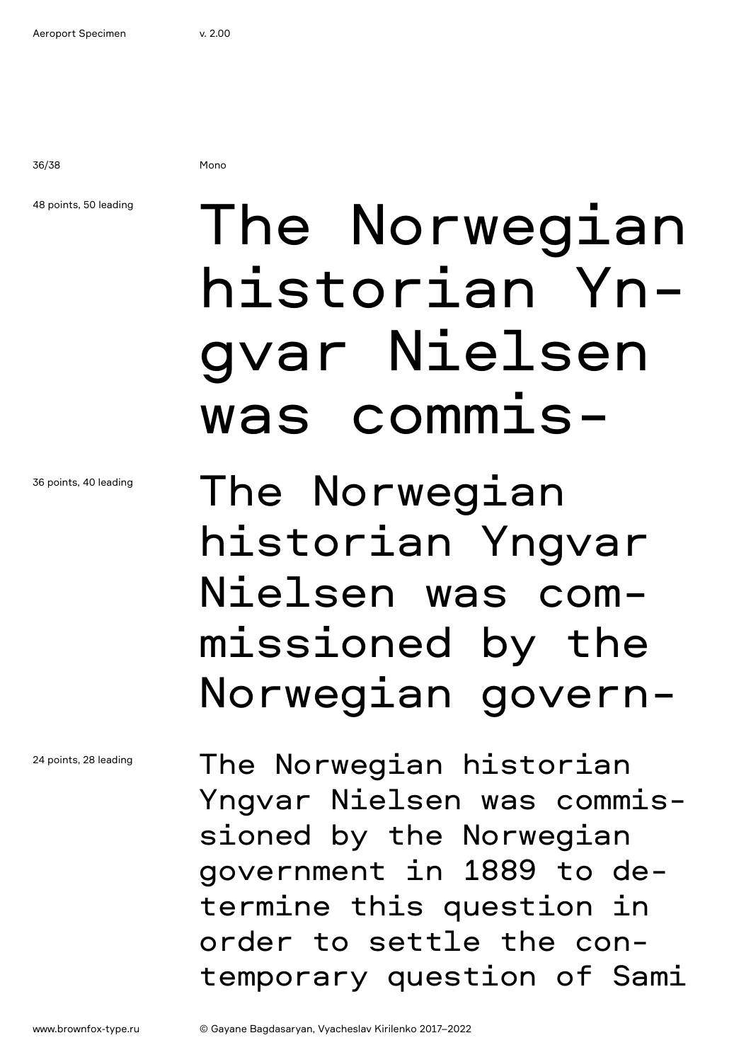36/38 Mono

### 48 points, 50 leading

# The Norwegian historian Yngvar Nielsen was commis-

The Norwegian historian Yngvar Nielsen was commissioned by the Norwegian govern-

The Norwegian historian Yngvar Nielsen was commissioned by the Norwegian government in 1889 to determine this question in order to settle the contemporary question of Sami

24 points, 28 leading

36 points, 40 leading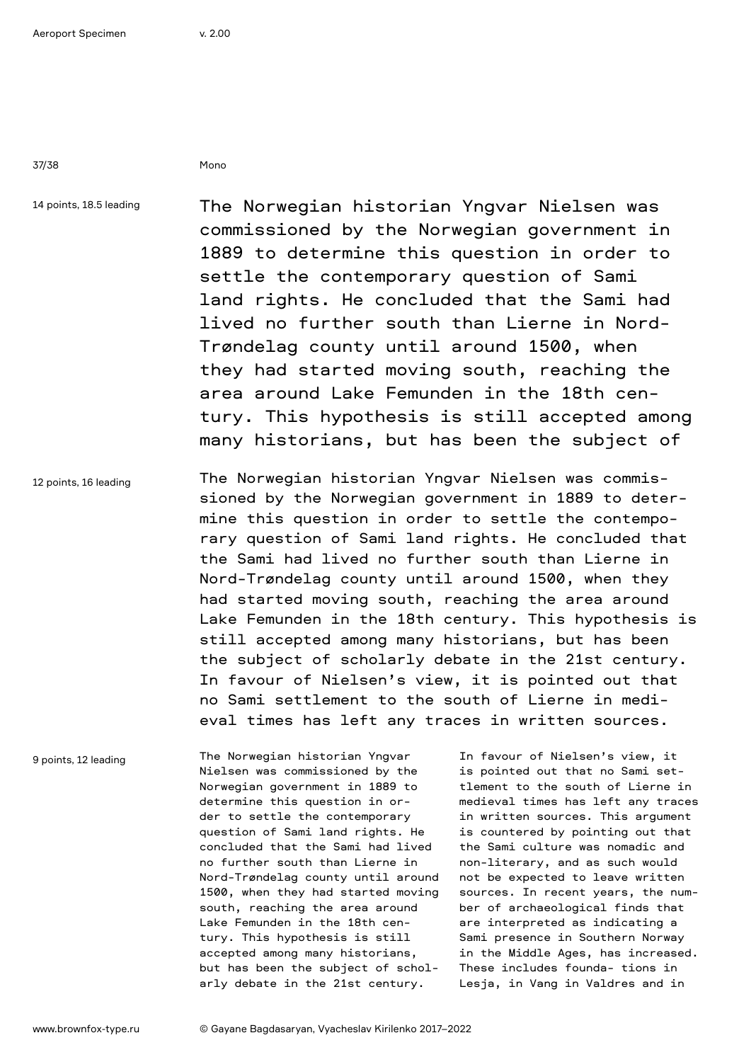37/38 Mono

14 points, 18.5 leading

The Norwegian historian Yngvar Nielsen was commissioned by the Norwegian government in 1889 to determine this question in order to settle the contemporary question of Sami land rights. He concluded that the Sami had lived no further south than Lierne in Nord-Trøndelag county until around 1500, when they had started moving south, reaching the area around Lake Femunden in the 18th century. This hypothesis is still accepted among many historians, but has been the subject of

12 points, 16 leading The Norwegian historian Yngvar Nielsen was commissioned by the Norwegian government in 1889 to determine this question in order to settle the contemporary question of Sami land rights. He concluded that the Sami had lived no further south than Lierne in Nord-Trøndelag county until around 1500, when they had started moving south, reaching the area around Lake Femunden in the 18th century. This hypothesis is still accepted among many historians, but has been the subject of scholarly debate in the 21st century. In favour of Nielsen's view, it is pointed out that no Sami settlement to the south of Lierne in medieval times has left any traces in written sources.

9 points, 12 leading

The Norwegian historian Yngvar Nielsen was commissioned by the Norwegian government in 1889 to determine this question in order to settle the contemporary question of Sami land rights. He concluded that the Sami had lived no further south than Lierne in Nord-Trøndelag county until around 1500, when they had started moving south, reaching the area around Lake Femunden in the 18th century. This hypothesis is still accepted among many historians, but has been the subject of scholarly debate in the 21st century.

In favour of Nielsen's view, it is pointed out that no Sami settlement to the south of Lierne in medieval times has left any traces in written sources. This argument is countered by pointing out that the Sami culture was nomadic and non-literary, and as such would not be expected to leave written sources. In recent years, the number of archaeological finds that are interpreted as indicating a Sami presence in Southern Norway in the Middle Ages, has increased. These includes founda- tions in Lesja, in Vang in Valdres and in